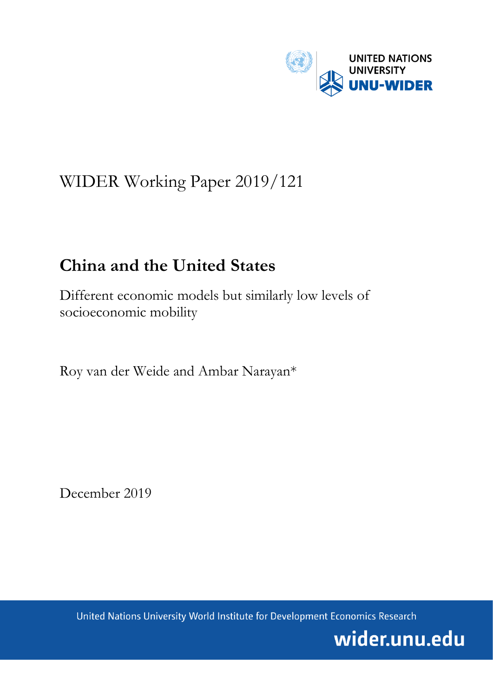

# WIDER Working Paper 2019/121

## **China and the United States**

Different economic models but similarly low levels of socioeconomic mobility

Roy van der Weide and Ambar Narayan\*

December 2019

United Nations University World Institute for Development Economics Research

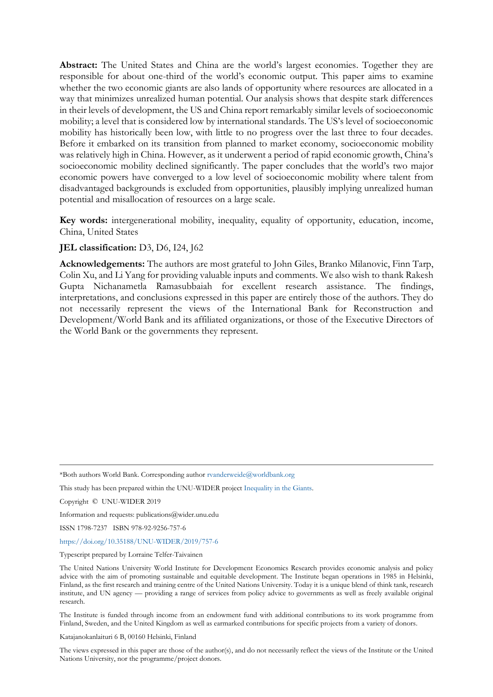**Abstract:** The United States and China are the world's largest economies. Together they are responsible for about one-third of the world's economic output. This paper aims to examine whether the two economic giants are also lands of opportunity where resources are allocated in a way that minimizes unrealized human potential. Our analysis shows that despite stark differences in their levels of development, the US and China report remarkably similar levels of socioeconomic mobility; a level that is considered low by international standards. The US's level of socioeconomic mobility has historically been low, with little to no progress over the last three to four decades. Before it embarked on its transition from planned to market economy, socioeconomic mobility was relatively high in China. However, as it underwent a period of rapid economic growth, China's socioeconomic mobility declined significantly. The paper concludes that the world's two major economic powers have converged to a low level of socioeconomic mobility where talent from disadvantaged backgrounds is excluded from opportunities, plausibly implying unrealized human potential and misallocation of resources on a large scale.

**Key words:** intergenerational mobility, inequality, equality of opportunity, education, income, China, United States

**JEL classification:** D3, D6, I24, J62

**Acknowledgements:** The authors are most grateful to John Giles, Branko Milanovic, Finn Tarp, Colin Xu, and Li Yang for providing valuable inputs and comments. We also wish to thank Rakesh Gupta Nichanametla Ramasubbaiah for excellent research assistance. The findings, interpretations, and conclusions expressed in this paper are entirely those of the authors. They do not necessarily represent the views of the International Bank for Reconstruction and Development/World Bank and its affiliated organizations, or those of the Executive Directors of the World Bank or the governments they represent.

\*Both authors World Bank. Corresponding author [rvanderweide@worldbank.org](mailto:rvanderweide@worldbank.org)

This study has been prepared within the UNU-WIDER project [Inequality in the Giants.](https://www.wider.unu.edu/node/28447)

Copyright © UNU-WIDER 2019

Information and requests: publications@wider.unu.edu

ISSN 1798-7237 ISBN 978-92-9256-757-6

<https://doi.org/10.35188/UNU-WIDER/2019/757-6>

Typescript prepared by Lorraine Telfer-Taivainen

The United Nations University World Institute for Development Economics Research provides economic analysis and policy advice with the aim of promoting sustainable and equitable development. The Institute began operations in 1985 in Helsinki, Finland, as the first research and training centre of the United Nations University. Today it is a unique blend of think tank, research institute, and UN agency — providing a range of services from policy advice to governments as well as freely available original research.

The Institute is funded through income from an endowment fund with additional contributions to its work programme from Finland, Sweden, and the United Kingdom as well as earmarked contributions for specific projects from a variety of donors.

Katajanokanlaituri 6 B, 00160 Helsinki, Finland

The views expressed in this paper are those of the author(s), and do not necessarily reflect the views of the Institute or the United Nations University, nor the programme/project donors.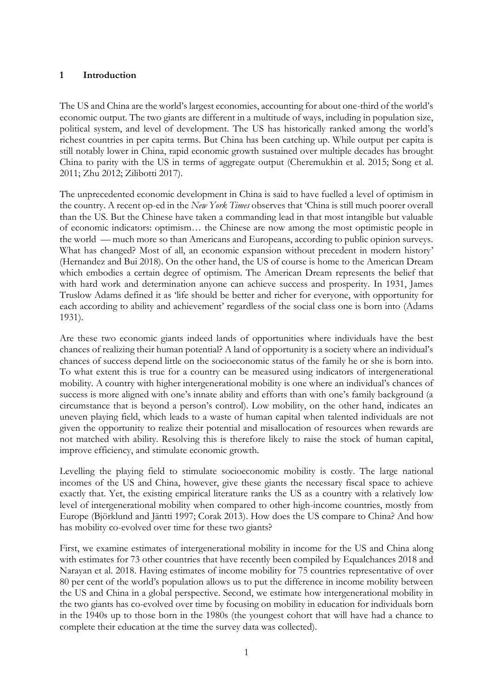### **1 Introduction**

The US and China are the world's largest economies, accounting for about one-third of the world's economic output. The two giants are different in a multitude of ways, including in population size, political system, and level of development. The US has historically ranked among the world's richest countries in per capita terms. But China has been catching up. While output per capita is still notably lower in China, rapid economic growth sustained over multiple decades has brought China to parity with the US in terms of aggregate output (Cheremukhin et al. 2015; Song et al. 2011; Zhu 2012; Zilibotti 2017).

The unprecedented economic development in China is said to have fuelled a level of optimism in the country. A recent op-ed in the *New York Times* observes that 'China is still much poorer overall than the US. But the Chinese have taken a commanding lead in that most intangible but valuable of economic indicators: optimism… the Chinese are now among the most optimistic people in the world — much more so than Americans and Europeans, according to public opinion surveys. What has changed? Most of all, an economic expansion without precedent in modern history' (Hernandez and Bui 2018). On the other hand, the US of course is home to the American Dream which embodies a certain degree of optimism. The American Dream represents the belief that with hard work and determination anyone can achieve success and prosperity. In 1931, James Truslow Adams defined it as 'life should be better and richer for everyone, with opportunity for each according to ability and achievement' regardless of the social class one is born into (Adams 1931).

Are these two economic giants indeed lands of opportunities where individuals have the best chances of realizing their human potential? A land of opportunity is a society where an individual's chances of success depend little on the socioeconomic status of the family he or she is born into. To what extent this is true for a country can be measured using indicators of intergenerational mobility. A country with higher intergenerational mobility is one where an individual's chances of success is more aligned with one's innate ability and efforts than with one's family background (a circumstance that is beyond a person's control). Low mobility, on the other hand, indicates an uneven playing field, which leads to a waste of human capital when talented individuals are not given the opportunity to realize their potential and misallocation of resources when rewards are not matched with ability. Resolving this is therefore likely to raise the stock of human capital, improve efficiency, and stimulate economic growth.

Levelling the playing field to stimulate socioeconomic mobility is costly. The large national incomes of the US and China, however, give these giants the necessary fiscal space to achieve exactly that. Yet, the existing empirical literature ranks the US as a country with a relatively low level of intergenerational mobility when compared to other high-income countries, mostly from Europe (Björklund and Jäntti 1997; Corak 2013). How does the US compare to China? And how has mobility co-evolved over time for these two giants?

First, we examine estimates of intergenerational mobility in income for the US and China along with estimates for 73 other countries that have recently been compiled by Equalchances 2018 and Narayan et al. 2018. Having estimates of income mobility for 75 countries representative of over 80 per cent of the world's population allows us to put the difference in income mobility between the US and China in a global perspective. Second, we estimate how intergenerational mobility in the two giants has co-evolved over time by focusing on mobility in education for individuals born in the 1940s up to those born in the 1980s (the youngest cohort that will have had a chance to complete their education at the time the survey data was collected).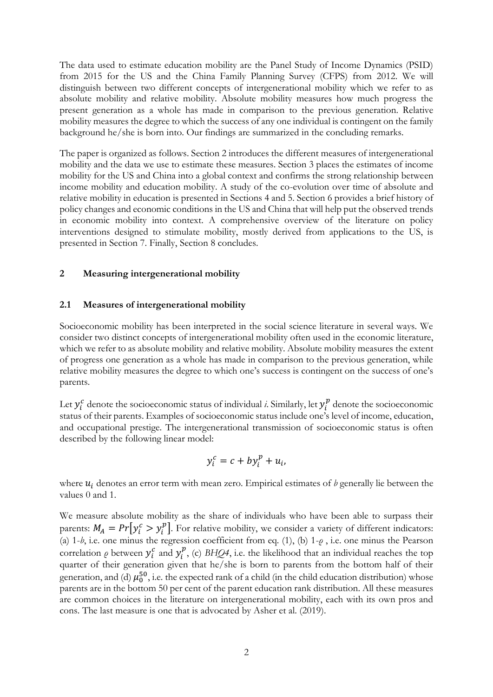The data used to estimate education mobility are the Panel Study of Income Dynamics (PSID) from 2015 for the US and the China Family Planning Survey (CFPS) from 2012. We will distinguish between two different concepts of intergenerational mobility which we refer to as absolute mobility and relative mobility. Absolute mobility measures how much progress the present generation as a whole has made in comparison to the previous generation. Relative mobility measures the degree to which the success of any one individual is contingent on the family background he/she is born into. Our findings are summarized in the concluding remarks.

The paper is organized as follows. Section 2 introduces the different measures of intergenerational mobility and the data we use to estimate these measures. Section 3 places the estimates of income mobility for the US and China into a global context and confirms the strong relationship between income mobility and education mobility. A study of the co-evolution over time of absolute and relative mobility in education is presented in Sections 4 and 5. Section 6 provides a brief history of policy changes and economic conditions in the US and China that will help put the observed trends in economic mobility into context. A comprehensive overview of the literature on policy interventions designed to stimulate mobility, mostly derived from applications to the US, is presented in Section 7. Finally, Section 8 concludes.

#### **2 Measuring intergenerational mobility**

#### **2.1 Measures of intergenerational mobility**

Socioeconomic mobility has been interpreted in the social science literature in several ways. We consider two distinct concepts of intergenerational mobility often used in the economic literature, which we refer to as absolute mobility and relative mobility. Absolute mobility measures the extent of progress one generation as a whole has made in comparison to the previous generation, while relative mobility measures the degree to which one's success is contingent on the success of one's parents.

Let  $y_i^c$  denote the socioeconomic status of individual *i*. Similarly, let  $y_i^p$  denote the socioeconomic status of their parents. Examples of socioeconomic status include one's level of income, education, and occupational prestige. The intergenerational transmission of socioeconomic status is often described by the following linear model:

$$
y_i^c = c + by_i^p + u_i,
$$

where  $u_i$  denotes an error term with mean zero. Empirical estimates of  $b$  generally lie between the values 0 and 1.

We measure absolute mobility as the share of individuals who have been able to surpass their parents:  $M_A = Pr[y_i^c > y_i^p]$ . For relative mobility, we consider a variety of different indicators: (a) 1-*b*, i.e. one minus the regression coefficient from eq. (1), (b) 1-*ρ* , i.e. one minus the Pearson correlation *ρ* between  $y_i^c$  and  $y_i^p$ , (c) *BHQ4*, i.e. the likelihood that an individual reaches the top quarter of their generation given that he/she is born to parents from the bottom half of their generation, and (d)  $\mu_0^{50}$ , i.e. the expected rank of a child (in the child education distribution) whose parents are in the bottom 50 per cent of the parent education rank distribution. All these measures are common choices in the literature on intergenerational mobility, each with its own pros and cons. The last measure is one that is advocated by Asher et al. (2019).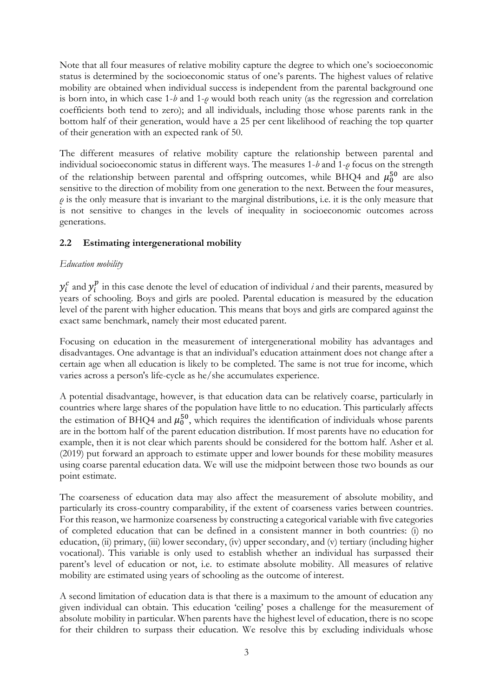Note that all four measures of relative mobility capture the degree to which one's socioeconomic status is determined by the socioeconomic status of one's parents. The highest values of relative mobility are obtained when individual success is independent from the parental background one is born into, in which case 1-*b* and 1-*ρ* would both reach unity (as the regression and correlation coefficients both tend to zero); and all individuals, including those whose parents rank in the bottom half of their generation, would have a 25 per cent likelihood of reaching the top quarter of their generation with an expected rank of 50.

The different measures of relative mobility capture the relationship between parental and individual socioeconomic status in different ways. The measures 1-*b* and 1-*ρ* focus on the strength of the relationship between parental and offspring outcomes, while BHQ4 and  $\mu_0^{50}$  are also sensitive to the direction of mobility from one generation to the next. Between the four measures,  $\rho$  is the only measure that is invariant to the marginal distributions, i.e. it is the only measure that is not sensitive to changes in the levels of inequality in socioeconomic outcomes across generations.

## **2.2 Estimating intergenerational mobility**

### *Education mobility*

 $y_i^c$  and  $y_i^p$  in this case denote the level of education of individual *i* and their parents, measured by years of schooling. Boys and girls are pooled. Parental education is measured by the education level of the parent with higher education. This means that boys and girls are compared against the exact same benchmark, namely their most educated parent.

Focusing on education in the measurement of intergenerational mobility has advantages and disadvantages. One advantage is that an individual's education attainment does not change after a certain age when all education is likely to be completed. The same is not true for income, which varies across a person's life-cycle as he/she accumulates experience.

A potential disadvantage, however, is that education data can be relatively coarse, particularly in countries where large shares of the population have little to no education. This particularly affects the estimation of BHQ4 and  $\mu_0^{50}$ , which requires the identification of individuals whose parents are in the bottom half of the parent education distribution. If most parents have no education for example, then it is not clear which parents should be considered for the bottom half. Asher et al. (2019) put forward an approach to estimate upper and lower bounds for these mobility measures using coarse parental education data. We will use the midpoint between those two bounds as our point estimate.

The coarseness of education data may also affect the measurement of absolute mobility, and particularly its cross-country comparability, if the extent of coarseness varies between countries. For this reason, we harmonize coarseness by constructing a categorical variable with five categories of completed education that can be defined in a consistent manner in both countries: (i) no education, (ii) primary, (iii) lower secondary, (iv) upper secondary, and (v) tertiary (including higher vocational). This variable is only used to establish whether an individual has surpassed their parent's level of education or not, i.e. to estimate absolute mobility. All measures of relative mobility are estimated using years of schooling as the outcome of interest.

A second limitation of education data is that there is a maximum to the amount of education any given individual can obtain. This education 'ceiling' poses a challenge for the measurement of absolute mobility in particular. When parents have the highest level of education, there is no scope for their children to surpass their education. We resolve this by excluding individuals whose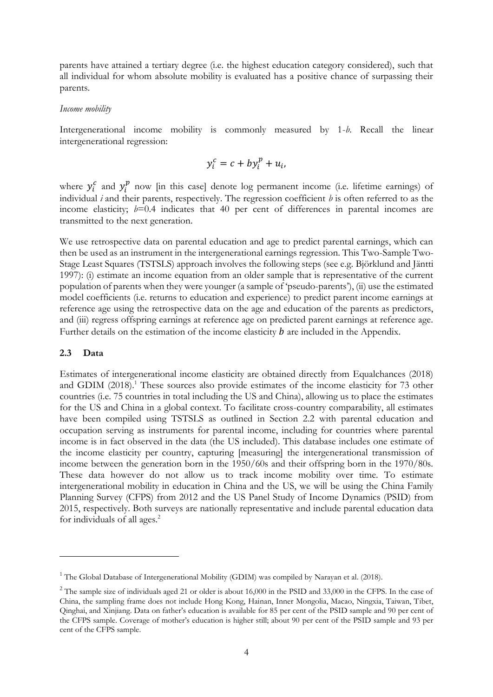parents have attained a tertiary degree (i.e. the highest education category considered), such that all individual for whom absolute mobility is evaluated has a positive chance of surpassing their parents.

#### *Income mobility*

Intergenerational income mobility is commonly measured by 1-*b*. Recall the linear intergenerational regression:

$$
y_i^c = c + by_i^p + u_i,
$$

where  $y_i^c$  and  $y_i^p$  now [in this case] denote log permanent income (i.e. lifetime earnings) of individual *i* and their parents, respectively. The regression coefficient *b* is often referred to as the income elasticity;  $b=0.4$  indicates that 40 per cent of differences in parental incomes are transmitted to the next generation.

We use retrospective data on parental education and age to predict parental earnings, which can then be used as an instrument in the intergenerational earnings regression. This Two-Sample Two-Stage Least Squares (TSTSLS) approach involves the following steps (see e.g. Björklund and Jäntti 1997): (i) estimate an income equation from an older sample that is representative of the current population of parents when they were younger (a sample of 'pseudo-parents'), (ii) use the estimated model coefficients (i.e. returns to education and experience) to predict parent income earnings at reference age using the retrospective data on the age and education of the parents as predictors, and (iii) regress offspring earnings at reference age on predicted parent earnings at reference age. Further details on the estimation of the income elasticity  $\boldsymbol{b}$  are included in the Appendix.

#### **2.3 Data**

Estimates of intergenerational income elasticity are obtained directly from Equalchances (2018) and GDIM (2018). <sup>1</sup> These sources also provide estimates of the income elasticity for 73 other countries (i.e. 75 countries in total including the US and China), allowing us to place the estimates for the US and China in a global context. To facilitate cross-country comparability, all estimates have been compiled using TSTSLS as outlined in Section 2.2 with parental education and occupation serving as instruments for parental income, including for countries where parental income is in fact observed in the data (the US included). This database includes one estimate of the income elasticity per country, capturing [measuring] the intergenerational transmission of income between the generation born in the 1950/60s and their offspring born in the 1970/80s. These data however do not allow us to track income mobility over time. To estimate intergenerational mobility in education in China and the US, we will be using the China Family Planning Survey (CFPS) from 2012 and the US Panel Study of Income Dynamics (PSID) from 2015, respectively. Both surveys are nationally representative and include parental education data for individuals of all ages.<sup>2</sup>

<sup>&</sup>lt;sup>1</sup> The Global Database of Intergenerational Mobility (GDIM) was compiled by Narayan et al. (2018).

 $2$  The sample size of individuals aged 21 or older is about 16,000 in the PSID and 33,000 in the CFPS. In the case of China, the sampling frame does not include Hong Kong, Hainan, Inner Mongolia, Macao, Ningxia, Taiwan, Tibet, Qinghai, and Xinjiang. Data on father's education is available for 85 per cent of the PSID sample and 90 per cent of the CFPS sample. Coverage of mother's education is higher still; about 90 per cent of the PSID sample and 93 per cent of the CFPS sample.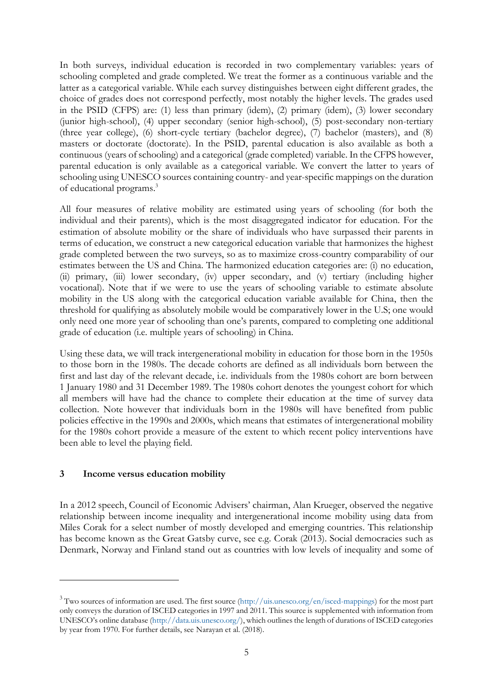In both surveys, individual education is recorded in two complementary variables: years of schooling completed and grade completed. We treat the former as a continuous variable and the latter as a categorical variable. While each survey distinguishes between eight different grades, the choice of grades does not correspond perfectly, most notably the higher levels. The grades used in the PSID (CFPS) are: (1) less than primary (idem), (2) primary (idem), (3) lower secondary (junior high-school), (4) upper secondary (senior high-school), (5) post-secondary non-tertiary (three year college), (6) short-cycle tertiary (bachelor degree), (7) bachelor (masters), and (8) masters or doctorate (doctorate). In the PSID, parental education is also available as both a continuous (years of schooling) and a categorical (grade completed) variable. In the CFPS however, parental education is only available as a categorical variable. We convert the latter to years of schooling using UNESCO sources containing country- and year-specific mappings on the duration of educational programs.<sup>3</sup>

All four measures of relative mobility are estimated using years of schooling (for both the individual and their parents), which is the most disaggregated indicator for education. For the estimation of absolute mobility or the share of individuals who have surpassed their parents in terms of education, we construct a new categorical education variable that harmonizes the highest grade completed between the two surveys, so as to maximize cross-country comparability of our estimates between the US and China. The harmonized education categories are: (i) no education, (ii) primary, (iii) lower secondary, (iv) upper secondary, and (v) tertiary (including higher vocational). Note that if we were to use the years of schooling variable to estimate absolute mobility in the US along with the categorical education variable available for China, then the threshold for qualifying as absolutely mobile would be comparatively lower in the U.S; one would only need one more year of schooling than one's parents, compared to completing one additional grade of education (i.e. multiple years of schooling) in China.

Using these data, we will track intergenerational mobility in education for those born in the 1950s to those born in the 1980s. The decade cohorts are defined as all individuals born between the first and last day of the relevant decade, i.e. individuals from the 1980s cohort are born between 1 January 1980 and 31 December 1989. The 1980s cohort denotes the youngest cohort for which all members will have had the chance to complete their education at the time of survey data collection. Note however that individuals born in the 1980s will have benefited from public policies effective in the 1990s and 2000s, which means that estimates of intergenerational mobility for the 1980s cohort provide a measure of the extent to which recent policy interventions have been able to level the playing field.

### **3 Income versus education mobility**

In a 2012 speech, Council of Economic Advisers' chairman, Alan Krueger, observed the negative relationship between income inequality and intergenerational income mobility using data from Miles Corak for a select number of mostly developed and emerging countries. This relationship has become known as the Great Gatsby curve, see e.g. Corak (2013). Social democracies such as Denmark, Norway and Finland stand out as countries with low levels of inequality and some of

 $3$  Two sources of information are used. The first source [\(http://uis.unesco.org/en/isced-mappings\)](http://uis.unesco.org/en/isced-mappings) for the most part only conveys the duration of ISCED categories in 1997 and 2011. This source is supplemented with information from UNESCO's online database ([http://data.uis.unesco.org/\)](http://data.uis.unesco.org/), which outlines the length of durations of ISCED categories by year from 1970. For further details, see Narayan et al. (2018).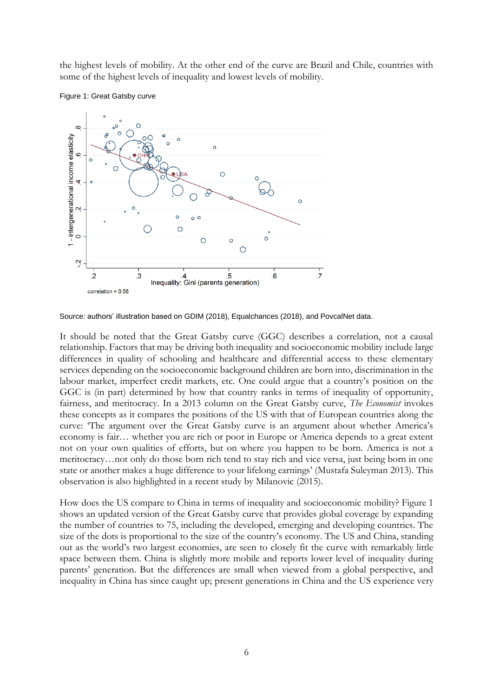the highest levels of mobility. At the other end of the curve are Brazil and Chile, countries with some of the highest levels of inequality and lowest levels of mobility.

#### Figure 1: Great Gatsby curve



Source: authors' illustration based on GDIM (2018), Equalchances (2018), and PovcalNet data.

It should be noted that the Great Gatsby curve (GGC) describes a correlation, not a causal relationship. Factors that may be driving both inequality and socioeconomic mobility include large differences in quality of schooling and healthcare and differential access to these elementary services depending on the socioeconomic background children are born into, discrimination in the labour market, imperfect credit markets, etc. One could argue that a country's position on the GGC is (in part) determined by how that country ranks in terms of inequality of opportunity, fairness, and meritocracy. In a 2013 column on the Great Gatsby curve, *The Economist* invokes these concepts as it compares the positions of the US with that of European countries along the curve: 'The argument over the Great Gatsby curve is an argument about whether America's economy is fair… whether you are rich or poor in Europe or America depends to a great extent not on your own qualities of efforts, but on where you happen to be born. America is not a meritocracy…not only do those born rich tend to stay rich and vice versa, just being born in one state or another makes a huge difference to your lifelong earnings' (Mustafa Suleyman 2013). This observation is also highlighted in a recent study by Milanovic (2015).

How does the US compare to China in terms of inequality and socioeconomic mobility? Figure 1 shows an updated version of the Great Gatsby curve that provides global coverage by expanding the number of countries to 75, including the developed, emerging and developing countries. The size of the dots is proportional to the size of the country's economy. The US and China, standing out as the world's two largest economies, are seen to closely fit the curve with remarkably little space between them. China is slightly more mobile and reports lower level of inequality during parents' generation. But the differences are small when viewed from a global perspective, and inequality in China has since caught up; present generations in China and the US experience very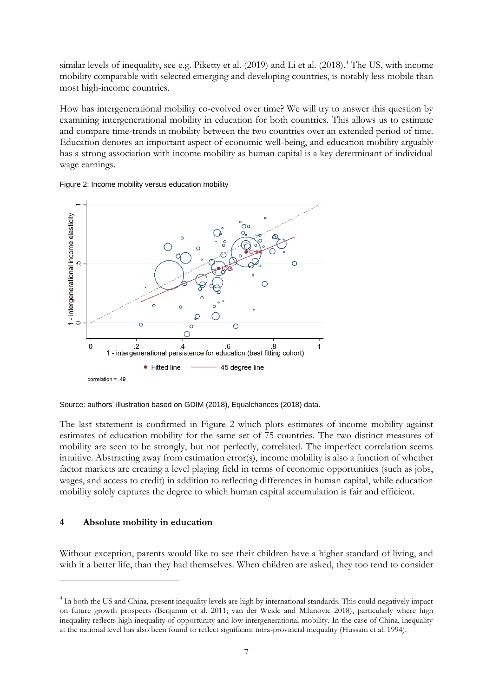similar levels of inequality, see e.g. Piketty et al. (2019) and Li et al. (2018). <sup>4</sup> The US, with income mobility comparable with selected emerging and developing countries, is notably less mobile than most high-income countries.

How has intergenerational mobility co-evolved over time? We will try to answer this question by examining intergenerational mobility in education for both countries. This allows us to estimate and compare time-trends in mobility between the two countries over an extended period of time. Education denotes an important aspect of economic well-being, and education mobility arguably has a strong association with income mobility as human capital is a key determinant of individual wage earnings.





Source: authors' illustration based on GDIM (2018), Equalchances (2018) data.

The last statement is confirmed in Figure 2 which plots estimates of income mobility against estimates of education mobility for the same set of 75 countries. The two distinct measures of mobility are seen to be strongly, but not perfectly, correlated. The imperfect correlation seems intuitive. Abstracting away from estimation error(s), income mobility is also a function of whether factor markets are creating a level playing field in terms of economic opportunities (such as jobs, wages, and access to credit) in addition to reflecting differences in human capital, while education mobility solely captures the degree to which human capital accumulation is fair and efficient.

### **4 Absolute mobility in education**

Without exception, parents would like to see their children have a higher standard of living, and with it a better life, than they had themselves. When children are asked, they too tend to consider

<sup>&</sup>lt;sup>4</sup> In both the US and China, present inequality levels are high by international standards. This could negatively impact on future growth prospects (Benjamin et al. 2011; van der Weide and Milanovic 2018), particularly where high inequality reflects high inequality of opportunity and low intergenerational mobility. In the case of China, inequality at the national level has also been found to reflect significant intra-provincial inequality (Hussain et al. 1994).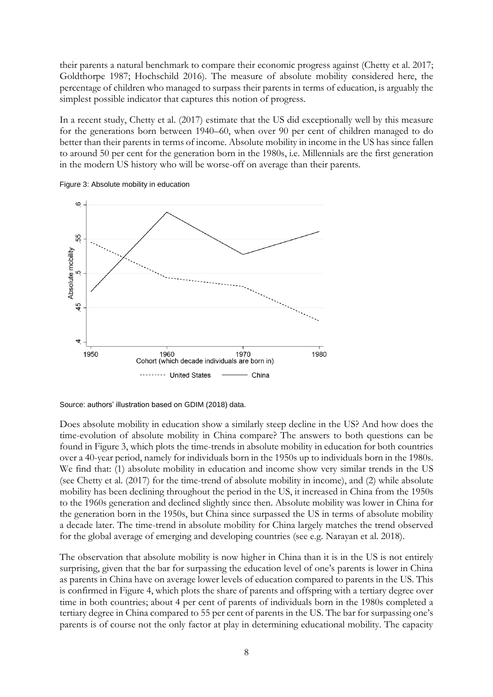their parents a natural benchmark to compare their economic progress against (Chetty et al. 2017; Goldthorpe 1987; Hochschild 2016). The measure of absolute mobility considered here, the percentage of children who managed to surpass their parents in terms of education, is arguably the simplest possible indicator that captures this notion of progress.

In a recent study, Chetty et al. (2017) estimate that the US did exceptionally well by this measure for the generations born between 1940–60, when over 90 per cent of children managed to do better than their parents in terms of income. Absolute mobility in income in the US has since fallen to around 50 per cent for the generation born in the 1980s, i.e. Millennials are the first generation in the modern US history who will be worse-off on average than their parents.





Source: authors' illustration based on GDIM (2018) data.

Does absolute mobility in education show a similarly steep decline in the US? And how does the time-evolution of absolute mobility in China compare? The answers to both questions can be found in Figure 3, which plots the time-trends in absolute mobility in education for both countries over a 40-year period, namely for individuals born in the 1950s up to individuals born in the 1980s. We find that: (1) absolute mobility in education and income show very similar trends in the US (see Chetty et al. (2017) for the time-trend of absolute mobility in income), and (2) while absolute mobility has been declining throughout the period in the US, it increased in China from the 1950s to the 1960s generation and declined slightly since then. Absolute mobility was lower in China for the generation born in the 1950s, but China since surpassed the US in terms of absolute mobility a decade later. The time-trend in absolute mobility for China largely matches the trend observed for the global average of emerging and developing countries (see e.g. Narayan et al. 2018).

The observation that absolute mobility is now higher in China than it is in the US is not entirely surprising, given that the bar for surpassing the education level of one's parents is lower in China as parents in China have on average lower levels of education compared to parents in the US. This is confirmed in Figure 4, which plots the share of parents and offspring with a tertiary degree over time in both countries; about 4 per cent of parents of individuals born in the 1980s completed a tertiary degree in China compared to 55 per cent of parents in the US. The bar for surpassing one's parents is of course not the only factor at play in determining educational mobility. The capacity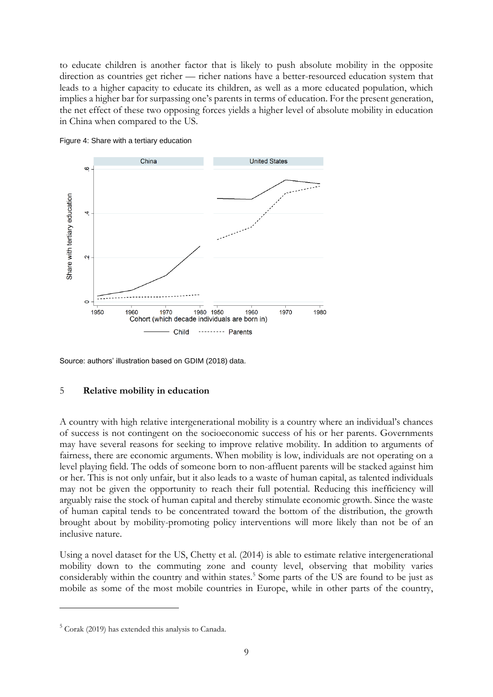to educate children is another factor that is likely to push absolute mobility in the opposite direction as countries get richer — richer nations have a better-resourced education system that leads to a higher capacity to educate its children, as well as a more educated population, which implies a higher bar for surpassing one's parents in terms of education. For the present generation, the net effect of these two opposing forces yields a higher level of absolute mobility in education in China when compared to the US.



Figure 4: Share with a tertiary education

Source: authors' illustration based on GDIM (2018) data.

#### 5 **Relative mobility in education**

A country with high relative intergenerational mobility is a country where an individual's chances of success is not contingent on the socioeconomic success of his or her parents. Governments may have several reasons for seeking to improve relative mobility. In addition to arguments of fairness, there are economic arguments. When mobility is low, individuals are not operating on a level playing field. The odds of someone born to non-affluent parents will be stacked against him or her. This is not only unfair, but it also leads to a waste of human capital, as talented individuals may not be given the opportunity to reach their full potential. Reducing this inefficiency will arguably raise the stock of human capital and thereby stimulate economic growth. Since the waste of human capital tends to be concentrated toward the bottom of the distribution, the growth brought about by mobility-promoting policy interventions will more likely than not be of an inclusive nature.

Using a novel dataset for the US, Chetty et al. (2014) is able to estimate relative intergenerational mobility down to the commuting zone and county level, observing that mobility varies considerably within the country and within states.<sup>5</sup> Some parts of the US are found to be just as mobile as some of the most mobile countries in Europe, while in other parts of the country,

<sup>5</sup> Corak (2019) has extended this analysis to Canada.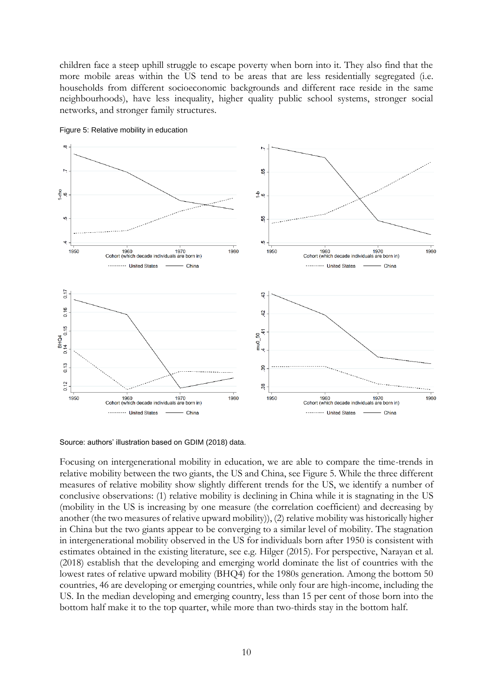children face a steep uphill struggle to escape poverty when born into it. They also find that the more mobile areas within the US tend to be areas that are less residentially segregated (i.e. households from different socioeconomic backgrounds and different race reside in the same neighbourhoods), have less inequality, higher quality public school systems, stronger social networks, and stronger family structures.



Figure 5: Relative mobility in education

Source: authors' illustration based on GDIM (2018) data.

Focusing on intergenerational mobility in education, we are able to compare the time-trends in relative mobility between the two giants, the US and China, see Figure 5. While the three different measures of relative mobility show slightly different trends for the US, we identify a number of conclusive observations: (1) relative mobility is declining in China while it is stagnating in the US (mobility in the US is increasing by one measure (the correlation coefficient) and decreasing by another (the two measures of relative upward mobility)), (2) relative mobility was historically higher in China but the two giants appear to be converging to a similar level of mobility. The stagnation in intergenerational mobility observed in the US for individuals born after 1950 is consistent with estimates obtained in the existing literature, see e.g. Hilger (2015). For perspective, Narayan et al. (2018) establish that the developing and emerging world dominate the list of countries with the lowest rates of relative upward mobility (BHQ4) for the 1980s generation. Among the bottom 50 countries, 46 are developing or emerging countries, while only four are high-income, including the US. In the median developing and emerging country, less than 15 per cent of those born into the bottom half make it to the top quarter, while more than two-thirds stay in the bottom half.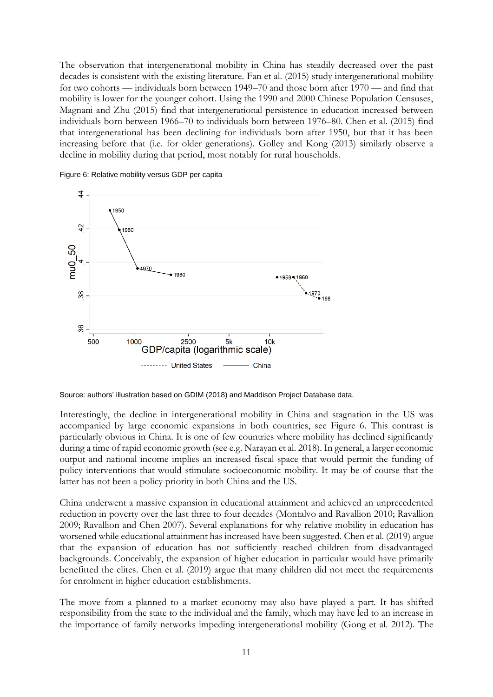The observation that intergenerational mobility in China has steadily decreased over the past decades is consistent with the existing literature. Fan et al. (2015) study intergenerational mobility for two cohorts — individuals born between 1949–70 and those born after 1970 — and find that mobility is lower for the younger cohort. Using the 1990 and 2000 Chinese Population Censuses, Magnani and Zhu (2015) find that intergenerational persistence in education increased between individuals born between 1966–70 to individuals born between 1976–80. Chen et al. (2015) find that intergenerational has been declining for individuals born after 1950, but that it has been increasing before that (i.e. for older generations). Golley and Kong (2013) similarly observe a decline in mobility during that period, most notably for rural households.





Source: authors' illustration based on GDIM (2018) and Maddison Project Database data.

Interestingly, the decline in intergenerational mobility in China and stagnation in the US was accompanied by large economic expansions in both countries, see Figure 6. This contrast is particularly obvious in China. It is one of few countries where mobility has declined significantly during a time of rapid economic growth (see e.g. Narayan et al. 2018). In general, a larger economic output and national income implies an increased fiscal space that would permit the funding of policy interventions that would stimulate socioeconomic mobility. It may be of course that the latter has not been a policy priority in both China and the US.

China underwent a massive expansion in educational attainment and achieved an unprecedented reduction in poverty over the last three to four decades (Montalvo and Ravallion 2010; Ravallion 2009; Ravallion and Chen 2007). Several explanations for why relative mobility in education has worsened while educational attainment has increased have been suggested. Chen et al. (2019) argue that the expansion of education has not sufficiently reached children from disadvantaged backgrounds. Conceivably, the expansion of higher education in particular would have primarily benefitted the elites. Chen et al. (2019) argue that many children did not meet the requirements for enrolment in higher education establishments.

The move from a planned to a market economy may also have played a part. It has shifted responsibility from the state to the individual and the family, which may have led to an increase in the importance of family networks impeding intergenerational mobility (Gong et al. 2012). The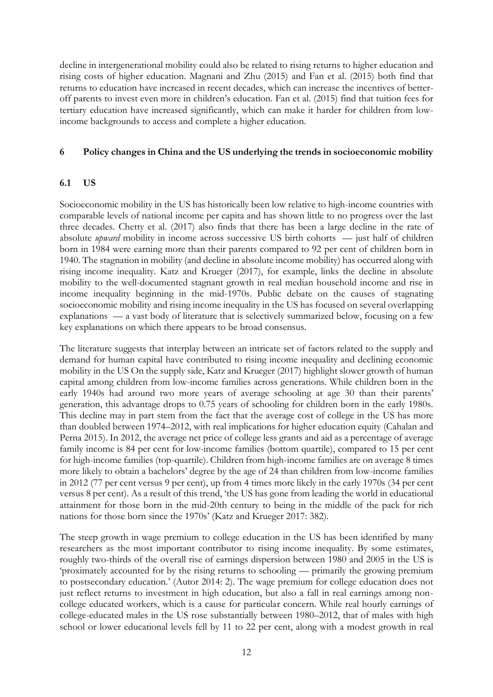decline in intergenerational mobility could also be related to rising returns to higher education and rising costs of higher education. Magnani and Zhu (2015) and Fan et al. (2015) both find that returns to education have increased in recent decades, which can increase the incentives of betteroff parents to invest even more in children's education. Fan et al. (2015) find that tuition fees for tertiary education have increased significantly, which can make it harder for children from lowincome backgrounds to access and complete a higher education.

#### **6 Policy changes in China and the US underlying the trends in socioeconomic mobility**

### **6.1 US**

Socioeconomic mobility in the US has historically been low relative to high-income countries with comparable levels of national income per capita and has shown little to no progress over the last three decades. Chetty et al. (2017) also finds that there has been a large decline in the rate of absolute *upward* mobility in income across successive US birth cohorts — just half of children born in 1984 were earning more than their parents compared to 92 per cent of children born in 1940. The stagnation in mobility (and decline in absolute income mobility) has occurred along with rising income inequality. Katz and Krueger (2017), for example, links the decline in absolute mobility to the well-documented stagnant growth in real median household income and rise in income inequality beginning in the mid-1970s. Public debate on the causes of stagnating socioeconomic mobility and rising income inequality in the US has focused on several overlapping explanations — a vast body of literature that is selectively summarized below, focusing on a few key explanations on which there appears to be broad consensus.

The literature suggests that interplay between an intricate set of factors related to the supply and demand for human capital have contributed to rising income inequality and declining economic mobility in the US On the supply side, Katz and Krueger (2017) highlight slower growth of human capital among children from low-income families across generations. While children born in the early 1940s had around two more years of average schooling at age 30 than their parents' generation, this advantage drops to 0.75 years of schooling for children born in the early 1980s. This decline may in part stem from the fact that the average cost of college in the US has more than doubled between 1974–2012, with real implications for higher education equity (Cahalan and Perna 2015). In 2012, the average net price of college less grants and aid as a percentage of average family income is 84 per cent for low-income families (bottom quartile), compared to 15 per cent for high-income families (top-quartile). Children from high-income families are on average 8 times more likely to obtain a bachelors' degree by the age of 24 than children from low-income families in 2012 (77 per cent versus 9 per cent), up from 4 times more likely in the early 1970s (34 per cent versus 8 per cent). As a result of this trend, 'the US has gone from leading the world in educational attainment for those born in the mid-20th century to being in the middle of the pack for rich nations for those born since the 1970s' (Katz and Krueger 2017: 382).

The steep growth in wage premium to college education in the US has been identified by many researchers as the most important contributor to rising income inequality. By some estimates, roughly two-thirds of the overall rise of earnings dispersion between 1980 and 2005 in the US is 'proximately accounted for by the rising returns to schooling — primarily the growing premium to postsecondary education.' (Autor 2014: 2). The wage premium for college education does not just reflect returns to investment in high education, but also a fall in real earnings among noncollege educated workers, which is a cause for particular concern. While real hourly earnings of college-educated males in the US rose substantially between 1980–2012, that of males with high school or lower educational levels fell by 11 to 22 per cent, along with a modest growth in real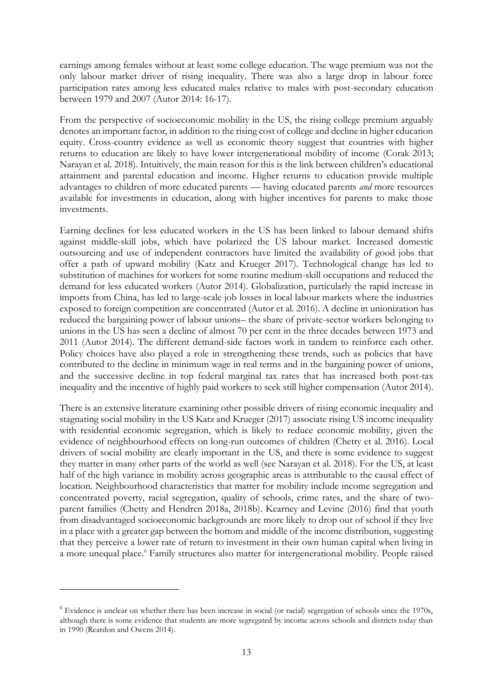earnings among females without at least some college education. The wage premium was not the only labour market driver of rising inequality. There was also a large drop in labour force participation rates among less educated males relative to males with post-secondary education between 1979 and 2007 (Autor 2014: 16-17).

From the perspective of socioeconomic mobility in the US, the rising college premium arguably denotes an important factor, in addition to the rising cost of college and decline in higher education equity. Cross-country evidence as well as economic theory suggest that countries with higher returns to education are likely to have lower intergenerational mobility of income (Corak 2013; Narayan et al. 2018). Intuitively, the main reason for this is the link between children's educational attainment and parental education and income. Higher returns to education provide multiple advantages to children of more educated parents — having educated parents *and* more resources available for investments in education, along with higher incentives for parents to make those investments.

Earning declines for less educated workers in the US has been linked to labour demand shifts against middle-skill jobs, which have polarized the US labour market. Increased domestic outsourcing and use of independent contractors have limited the availability of good jobs that offer a path of upward mobility (Katz and Krueger 2017). Technological change has led to substitution of machines for workers for some routine medium-skill occupations and reduced the demand for less educated workers (Autor 2014). Globalization, particularly the rapid increase in imports from China, has led to large-scale job losses in local labour markets where the industries exposed to foreign competition are concentrated (Autor et al. 2016). A decline in unionization has reduced the bargaining power of labour unions– the share of private-sector workers belonging to unions in the US has seen a decline of almost 70 per cent in the three decades between 1973 and 2011 (Autor 2014). The different demand-side factors work in tandem to reinforce each other. Policy choices have also played a role in strengthening these trends, such as policies that have contributed to the decline in minimum wage in real terms and in the bargaining power of unions, and the successive decline in top federal marginal tax rates that has increased both post-tax inequality and the incentive of highly paid workers to seek still higher compensation (Autor 2014).

There is an extensive literature examining other possible drivers of rising economic inequality and stagnating social mobility in the US Katz and Krueger (2017) associate rising US income inequality with residential economic segregation, which is likely to reduce economic mobility, given the evidence of neighbourhood effects on long-run outcomes of children (Chetty et al. 2016). Local drivers of social mobility are clearly important in the US, and there is some evidence to suggest they matter in many other parts of the world as well (see Narayan et al. 2018). For the US, at least half of the high variance in mobility across geographic areas is attributable to the causal effect of location. Neighbourhood characteristics that matter for mobility include income segregation and concentrated poverty, racial segregation, quality of schools, crime rates, and the share of twoparent families (Chetty and Hendren 2018a, 2018b). Kearney and Levine (2016) find that youth from disadvantaged socioeconomic backgrounds are more likely to drop out of school if they live in a place with a greater gap between the bottom and middle of the income distribution, suggesting that they perceive a lower rate of return to investment in their own human capital when living in a more unequal place.<sup>6</sup> Family structures also matter for intergenerational mobility. People raised

<sup>&</sup>lt;sup>6</sup> Evidence is unclear on whether there has been increase in social (or racial) segregation of schools since the 1970s, although there is some evidence that students are more segregated by income across schools and districts today than in 1990 (Reardon and Owens 2014).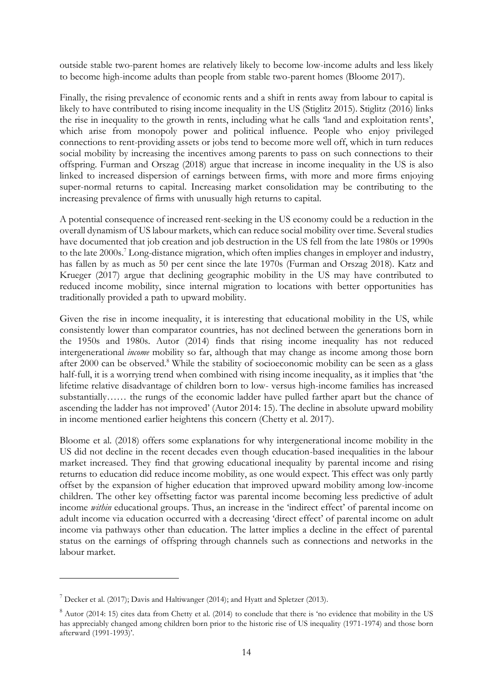outside stable two-parent homes are relatively likely to become low-income adults and less likely to become high-income adults than people from stable two-parent homes (Bloome 2017).

Finally, the rising prevalence of economic rents and a shift in rents away from labour to capital is likely to have contributed to rising income inequality in the US (Stiglitz 2015). Stiglitz (2016) links the rise in inequality to the growth in rents, including what he calls 'land and exploitation rents', which arise from monopoly power and political influence. People who enjoy privileged connections to rent-providing assets or jobs tend to become more well off, which in turn reduces social mobility by increasing the incentives among parents to pass on such connections to their offspring. Furman and Orszag (2018) argue that increase in income inequality in the US is also linked to increased dispersion of earnings between firms, with more and more firms enjoying super-normal returns to capital. Increasing market consolidation may be contributing to the increasing prevalence of firms with unusually high returns to capital.

A potential consequence of increased rent-seeking in the US economy could be a reduction in the overall dynamism of US labour markets, which can reduce social mobility over time. Several studies have documented that job creation and job destruction in the US fell from the late 1980s or 1990s to the late 2000s.<sup>7</sup> Long-distance migration, which often implies changes in employer and industry, has fallen by as much as 50 per cent since the late 1970s (Furman and Orszag 2018). Katz and Krueger (2017) argue that declining geographic mobility in the US may have contributed to reduced income mobility, since internal migration to locations with better opportunities has traditionally provided a path to upward mobility.

Given the rise in income inequality, it is interesting that educational mobility in the US, while consistently lower than comparator countries, has not declined between the generations born in the 1950s and 1980s. Autor (2014) finds that rising income inequality has not reduced intergenerational *income* mobility so far, although that may change as income among those born after 2000 can be observed.<sup>8</sup> While the stability of socioeconomic mobility can be seen as a glass half-full, it is a worrying trend when combined with rising income inequality, as it implies that 'the lifetime relative disadvantage of children born to low- versus high-income families has increased substantially…… the rungs of the economic ladder have pulled farther apart but the chance of ascending the ladder has not improved' (Autor 2014: 15). The decline in absolute upward mobility in income mentioned earlier heightens this concern (Chetty et al. 2017).

Bloome et al. (2018) offers some explanations for why intergenerational income mobility in the US did not decline in the recent decades even though education-based inequalities in the labour market increased. They find that growing educational inequality by parental income and rising returns to education did reduce income mobility, as one would expect. This effect was only partly offset by the expansion of higher education that improved upward mobility among low-income children. The other key offsetting factor was parental income becoming less predictive of adult income *within* educational groups. Thus, an increase in the 'indirect effect' of parental income on adult income via education occurred with a decreasing 'direct effect' of parental income on adult income via pathways other than education. The latter implies a decline in the effect of parental status on the earnings of offspring through channels such as connections and networks in the labour market.

 $^7$  Decker et al. (2017); Davis and Haltiwanger (2014); and Hyatt and Spletzer (2013).

<sup>&</sup>lt;sup>8</sup> Autor (2014: 15) cites data from Chetty et al. (2014) to conclude that there is 'no evidence that mobility in the US has appreciably changed among children born prior to the historic rise of US inequality (1971-1974) and those born afterward (1991-1993)'.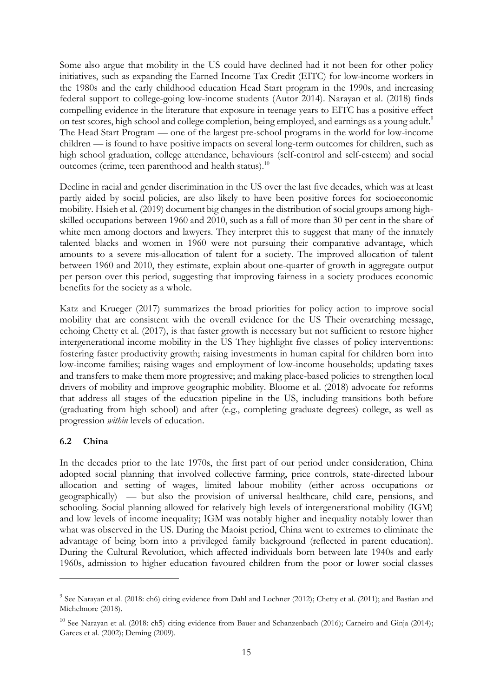Some also argue that mobility in the US could have declined had it not been for other policy initiatives, such as expanding the Earned Income Tax Credit (EITC) for low-income workers in the 1980s and the early childhood education Head Start program in the 1990s, and increasing federal support to college-going low-income students (Autor 2014). Narayan et al. (2018) finds compelling evidence in the literature that exposure in teenage years to EITC has a positive effect on test scores, high school and college completion, being employed, and earnings as a young adult.<sup>9</sup> The Head Start Program — one of the largest pre-school programs in the world for low-income children — is found to have positive impacts on several long-term outcomes for children, such as high school graduation, college attendance, behaviours (self-control and self-esteem) and social outcomes (crime, teen parenthood and health status).<sup>10</sup>

Decline in racial and gender discrimination in the US over the last five decades, which was at least partly aided by social policies, are also likely to have been positive forces for socioeconomic mobility. Hsieh et al. (2019) document big changes in the distribution of social groups among highskilled occupations between 1960 and 2010, such as a fall of more than 30 per cent in the share of white men among doctors and lawyers. They interpret this to suggest that many of the innately talented blacks and women in 1960 were not pursuing their comparative advantage, which amounts to a severe mis-allocation of talent for a society. The improved allocation of talent between 1960 and 2010, they estimate, explain about one-quarter of growth in aggregate output per person over this period, suggesting that improving fairness in a society produces economic benefits for the society as a whole.

Katz and Krueger (2017) summarizes the broad priorities for policy action to improve social mobility that are consistent with the overall evidence for the US Their overarching message, echoing Chetty et al. (2017), is that faster growth is necessary but not sufficient to restore higher intergenerational income mobility in the US They highlight five classes of policy interventions: fostering faster productivity growth; raising investments in human capital for children born into low-income families; raising wages and employment of low-income households; updating taxes and transfers to make them more progressive; and making place-based policies to strengthen local drivers of mobility and improve geographic mobility. Bloome et al. (2018) advocate for reforms that address all stages of the education pipeline in the US, including transitions both before (graduating from high school) and after (e.g., completing graduate degrees) college, as well as progression *within* levels of education.

### **6.2 China**

In the decades prior to the late 1970s, the first part of our period under consideration, China adopted social planning that involved collective farming, price controls, state-directed labour allocation and setting of wages, limited labour mobility (either across occupations or geographically) — but also the provision of universal healthcare, child care, pensions, and schooling. Social planning allowed for relatively high levels of intergenerational mobility (IGM) and low levels of income inequality; IGM was notably higher and inequality notably lower than what was observed in the US. During the Maoist period, China went to extremes to eliminate the advantage of being born into a privileged family background (reflected in parent education). During the Cultural Revolution, which affected individuals born between late 1940s and early 1960s, admission to higher education favoured children from the poor or lower social classes

<sup>&</sup>lt;sup>9</sup> See Narayan et al. (2018: ch6) citing evidence from Dahl and Lochner (2012); Chetty et al. (2011); and Bastian and Michelmore (2018).

<sup>&</sup>lt;sup>10</sup> See Narayan et al. (2018: ch5) citing evidence from Bauer and Schanzenbach (2016); Carneiro and Ginja (2014); Garces et al. (2002); Deming (2009).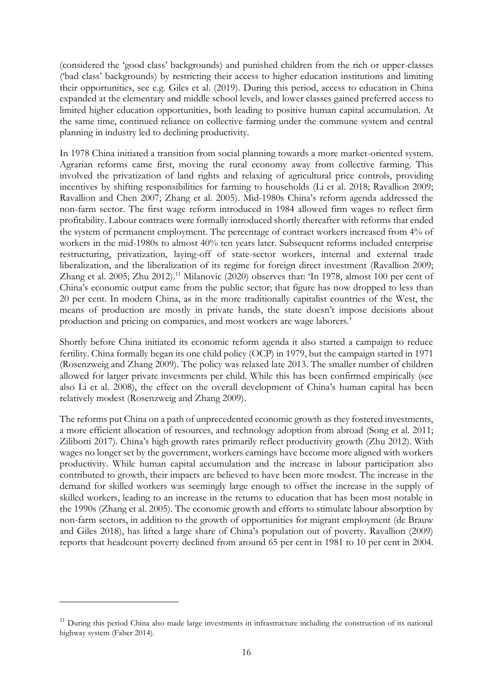(considered the 'good class' backgrounds) and punished children from the rich or upper-classes ('bad class' backgrounds) by restricting their access to higher education institutions and limiting their opportunities, see e.g. Giles et al. (2019). During this period, access to education in China expanded at the elementary and middle school levels, and lower classes gained preferred access to limited higher education opportunities, both leading to positive human capital accumulation. At the same time, continued reliance on collective farming under the commune system and central planning in industry led to declining productivity.

In 1978 China initiated a transition from social planning towards a more market-oriented system. Agrarian reforms came first, moving the rural economy away from collective farming. This involved the privatization of land rights and relaxing of agricultural price controls, providing incentives by shifting responsibilities for farming to households (Li et al. 2018; Ravallion 2009; Ravallion and Chen 2007; Zhang et al. 2005). Mid-1980s China's reform agenda addressed the non-farm sector. The first wage reform introduced in 1984 allowed firm wages to reflect firm profitability. Labour contracts were formally introduced shortly thereafter with reforms that ended the system of permanent employment. The percentage of contract workers increased from 4% of workers in the mid-1980s to almost 40% ten years later. Subsequent reforms included enterprise restructuring, privatization, laying-off of state-sector workers, internal and external trade liberalization, and the liberalization of its regime for foreign direct investment (Ravallion 2009; Zhang et al. 2005; Zhu 2012).<sup>11</sup> Milanovic (2020) observes that: 'In 1978, almost 100 per cent of China's economic output came from the public sector; that figure has now dropped to less than 20 per cent. In modern China, as in the more traditionally capitalist countries of the West, the means of production are mostly in private hands, the state doesn't impose decisions about production and pricing on companies, and most workers are wage laborers.'

Shortly before China initiated its economic reform agenda it also started a campaign to reduce fertility. China formally began its one child policy (OCP) in 1979, but the campaign started in 1971 (Rosenzweig and Zhang 2009). The policy was relaxed late 2013. The smaller number of children allowed for larger private investments per child. While this has been confirmed empirically (see also Li et al. 2008), the effect on the overall development of China's human capital has been relatively modest (Rosenzweig and Zhang 2009).

The reforms put China on a path of unprecedented economic growth as they fostered investments, a more efficient allocation of resources, and technology adoption from abroad (Song et al. 2011; Zilibotti 2017). China's high growth rates primarily reflect productivity growth (Zhu 2012). With wages no longer set by the government, workers earnings have become more aligned with workers productivity. While human capital accumulation and the increase in labour participation also contributed to growth, their impacts are believed to have been more modest. The increase in the demand for skilled workers was seemingly large enough to offset the increase in the supply of skilled workers, leading to an increase in the returns to education that has been most notable in the 1990s (Zhang et al. 2005). The economic growth and efforts to stimulate labour absorption by non-farm sectors, in addition to the growth of opportunities for migrant employment (de Brauw and Giles 2018), has lifted a large share of China's population out of poverty. Ravallion (2009) reports that headcount poverty declined from around 65 per cent in 1981 to 10 per cent in 2004.

<sup>&</sup>lt;sup>11</sup> During this period China also made large investments in infrastructure including the construction of its national highway system (Faber 2014).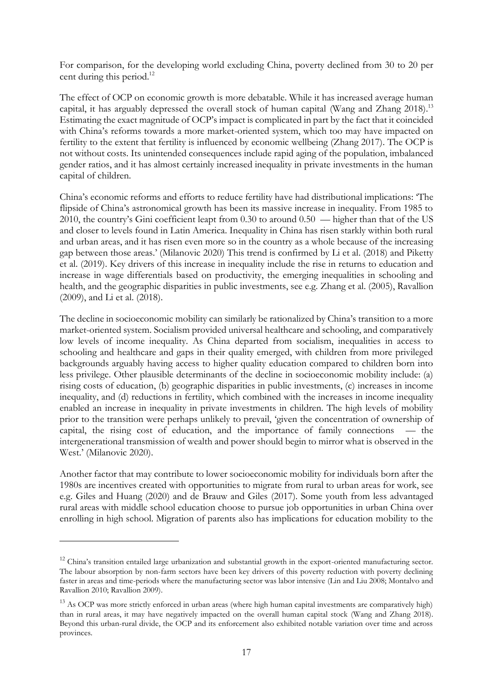For comparison, for the developing world excluding China, poverty declined from 30 to 20 per cent during this period.<sup>12</sup>

The effect of OCP on economic growth is more debatable. While it has increased average human capital, it has arguably depressed the overall stock of human capital (Wang and Zhang 2018).<sup>13</sup> Estimating the exact magnitude of OCP's impact is complicated in part by the fact that it coincided with China's reforms towards a more market-oriented system, which too may have impacted on fertility to the extent that fertility is influenced by economic wellbeing (Zhang 2017). The OCP is not without costs. Its unintended consequences include rapid aging of the population, imbalanced gender ratios, and it has almost certainly increased inequality in private investments in the human capital of children.

China's economic reforms and efforts to reduce fertility have had distributional implications: 'The flipside of China's astronomical growth has been its massive increase in inequality. From 1985 to 2010, the country's Gini coefficient leapt from 0.30 to around 0.50 — higher than that of the US and closer to levels found in Latin America. Inequality in China has risen starkly within both rural and urban areas, and it has risen even more so in the country as a whole because of the increasing gap between those areas.' (Milanovic 2020) This trend is confirmed by Li et al. (2018) and Piketty et al. (2019). Key drivers of this increase in inequality include the rise in returns to education and increase in wage differentials based on productivity, the emerging inequalities in schooling and health, and the geographic disparities in public investments, see e.g. Zhang et al. (2005), Ravallion (2009), and Li et al. (2018).

The decline in socioeconomic mobility can similarly be rationalized by China's transition to a more market-oriented system. Socialism provided universal healthcare and schooling, and comparatively low levels of income inequality. As China departed from socialism, inequalities in access to schooling and healthcare and gaps in their quality emerged, with children from more privileged backgrounds arguably having access to higher quality education compared to children born into less privilege. Other plausible determinants of the decline in socioeconomic mobility include: (a) rising costs of education, (b) geographic disparities in public investments, (c) increases in income inequality, and (d) reductions in fertility, which combined with the increases in income inequality enabled an increase in inequality in private investments in children. The high levels of mobility prior to the transition were perhaps unlikely to prevail, 'given the concentration of ownership of capital, the rising cost of education, and the importance of family connections — the intergenerational transmission of wealth and power should begin to mirror what is observed in the West.' (Milanovic 2020).

Another factor that may contribute to lower socioeconomic mobility for individuals born after the 1980s are incentives created with opportunities to migrate from rural to urban areas for work, see e.g. Giles and Huang (2020) and de Brauw and Giles (2017). Some youth from less advantaged rural areas with middle school education choose to pursue job opportunities in urban China over enrolling in high school. Migration of parents also has implications for education mobility to the

<sup>&</sup>lt;sup>12</sup> China's transition entailed large urbanization and substantial growth in the export-oriented manufacturing sector. The labour absorption by non-farm sectors have been key drivers of this poverty reduction with poverty declining faster in areas and time-periods where the manufacturing sector was labor intensive (Lin and Liu 2008; Montalvo and Ravallion 2010; Ravallion 2009).

<sup>&</sup>lt;sup>13</sup> As OCP was more strictly enforced in urban areas (where high human capital investments are comparatively high) than in rural areas, it may have negatively impacted on the overall human capital stock (Wang and Zhang 2018). Beyond this urban-rural divide, the OCP and its enforcement also exhibited notable variation over time and across provinces.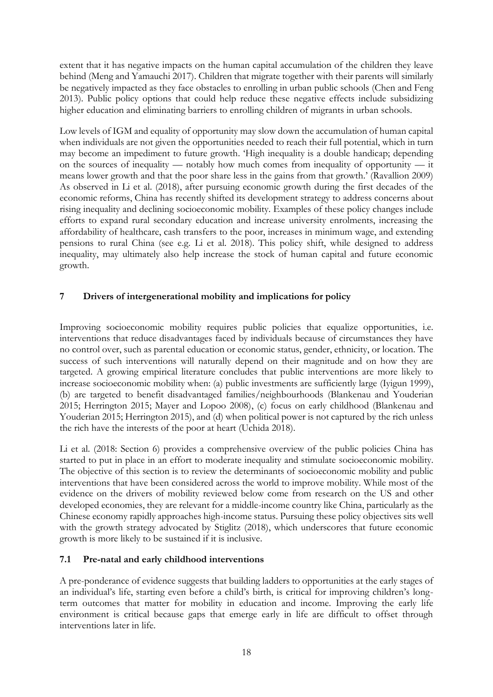extent that it has negative impacts on the human capital accumulation of the children they leave behind (Meng and Yamauchi 2017). Children that migrate together with their parents will similarly be negatively impacted as they face obstacles to enrolling in urban public schools (Chen and Feng 2013). Public policy options that could help reduce these negative effects include subsidizing higher education and eliminating barriers to enrolling children of migrants in urban schools.

Low levels of IGM and equality of opportunity may slow down the accumulation of human capital when individuals are not given the opportunities needed to reach their full potential, which in turn may become an impediment to future growth. 'High inequality is a double handicap; depending on the sources of inequality — notably how much comes from inequality of opportunity — it means lower growth and that the poor share less in the gains from that growth.' (Ravallion 2009) As observed in Li et al. (2018), after pursuing economic growth during the first decades of the economic reforms, China has recently shifted its development strategy to address concerns about rising inequality and declining socioeconomic mobility. Examples of these policy changes include efforts to expand rural secondary education and increase university enrolments, increasing the affordability of healthcare, cash transfers to the poor, increases in minimum wage, and extending pensions to rural China (see e.g. Li et al. 2018). This policy shift, while designed to address inequality, may ultimately also help increase the stock of human capital and future economic growth.

## **7 Drivers of intergenerational mobility and implications for policy**

Improving socioeconomic mobility requires public policies that equalize opportunities, i.e. interventions that reduce disadvantages faced by individuals because of circumstances they have no control over, such as parental education or economic status, gender, ethnicity, or location. The success of such interventions will naturally depend on their magnitude and on how they are targeted. A growing empirical literature concludes that public interventions are more likely to increase socioeconomic mobility when: (a) public investments are sufficiently large (Iyigun 1999), (b) are targeted to benefit disadvantaged families/neighbourhoods (Blankenau and Youderian 2015; Herrington 2015; Mayer and Lopoo 2008), (c) focus on early childhood (Blankenau and Youderian 2015; Herrington 2015), and (d) when political power is not captured by the rich unless the rich have the interests of the poor at heart (Uchida 2018).

Li et al. (2018: Section 6) provides a comprehensive overview of the public policies China has started to put in place in an effort to moderate inequality and stimulate socioeconomic mobility. The objective of this section is to review the determinants of socioeconomic mobility and public interventions that have been considered across the world to improve mobility. While most of the evidence on the drivers of mobility reviewed below come from research on the US and other developed economies, they are relevant for a middle-income country like China, particularly as the Chinese economy rapidly approaches high-income status. Pursuing these policy objectives sits well with the growth strategy advocated by Stiglitz (2018), which underscores that future economic growth is more likely to be sustained if it is inclusive.

## **7.1 Pre-natal and early childhood interventions**

A pre-ponderance of evidence suggests that building ladders to opportunities at the early stages of an individual's life, starting even before a child's birth, is critical for improving children's longterm outcomes that matter for mobility in education and income. Improving the early life environment is critical because gaps that emerge early in life are difficult to offset through interventions later in life.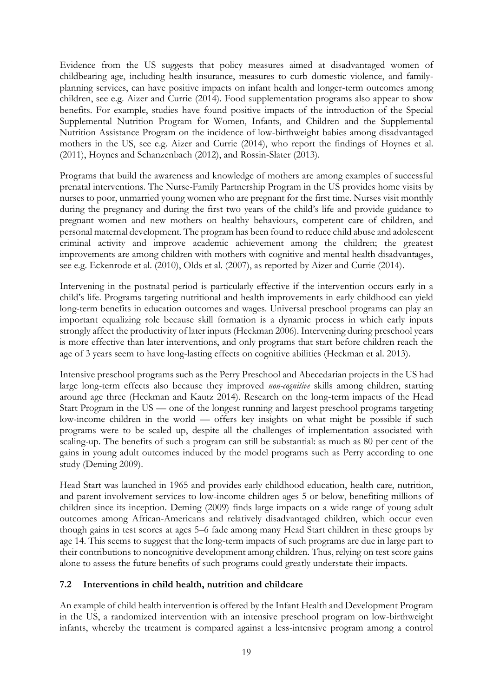Evidence from the US suggests that policy measures aimed at disadvantaged women of childbearing age, including health insurance, measures to curb domestic violence, and familyplanning services, can have positive impacts on infant health and longer-term outcomes among children, see e.g. Aizer and Currie (2014). Food supplementation programs also appear to show benefits. For example, studies have found positive impacts of the introduction of the Special Supplemental Nutrition Program for Women, Infants, and Children and the Supplemental Nutrition Assistance Program on the incidence of low-birthweight babies among disadvantaged mothers in the US, see e.g. Aizer and Currie (2014), who report the findings of Hoynes et al. (2011), Hoynes and Schanzenbach (2012), and Rossin-Slater (2013).

Programs that build the awareness and knowledge of mothers are among examples of successful prenatal interventions. The Nurse-Family Partnership Program in the US provides home visits by nurses to poor, unmarried young women who are pregnant for the first time. Nurses visit monthly during the pregnancy and during the first two years of the child's life and provide guidance to pregnant women and new mothers on healthy behaviours, competent care of children, and personal maternal development. The program has been found to reduce child abuse and adolescent criminal activity and improve academic achievement among the children; the greatest improvements are among children with mothers with cognitive and mental health disadvantages, see e.g. Eckenrode et al. (2010), Olds et al. (2007), as reported by Aizer and Currie (2014).

Intervening in the postnatal period is particularly effective if the intervention occurs early in a child's life. Programs targeting nutritional and health improvements in early childhood can yield long-term benefits in education outcomes and wages. Universal preschool programs can play an important equalizing role because skill formation is a dynamic process in which early inputs strongly affect the productivity of later inputs (Heckman 2006). Intervening during preschool years is more effective than later interventions, and only programs that start before children reach the age of 3 years seem to have long-lasting effects on cognitive abilities (Heckman et al. 2013).

Intensive preschool programs such as the Perry Preschool and Abecedarian projects in the US had large long-term effects also because they improved *non-cognitive* skills among children, starting around age three (Heckman and Kautz 2014). Research on the long-term impacts of the Head Start Program in the US — one of the longest running and largest preschool programs targeting low-income children in the world — offers key insights on what might be possible if such programs were to be scaled up, despite all the challenges of implementation associated with scaling-up. The benefits of such a program can still be substantial: as much as 80 per cent of the gains in young adult outcomes induced by the model programs such as Perry according to one study (Deming 2009).

Head Start was launched in 1965 and provides early childhood education, health care, nutrition, and parent involvement services to low-income children ages 5 or below, benefiting millions of children since its inception. Deming (2009) finds large impacts on a wide range of young adult outcomes among African-Americans and relatively disadvantaged children, which occur even though gains in test scores at ages 5–6 fade among many Head Start children in these groups by age 14. This seems to suggest that the long-term impacts of such programs are due in large part to their contributions to noncognitive development among children. Thus, relying on test score gains alone to assess the future benefits of such programs could greatly understate their impacts.

### **7.2 Interventions in child health, nutrition and childcare**

An example of child health intervention is offered by the Infant Health and Development Program in the US, a randomized intervention with an intensive preschool program on low-birthweight infants, whereby the treatment is compared against a less-intensive program among a control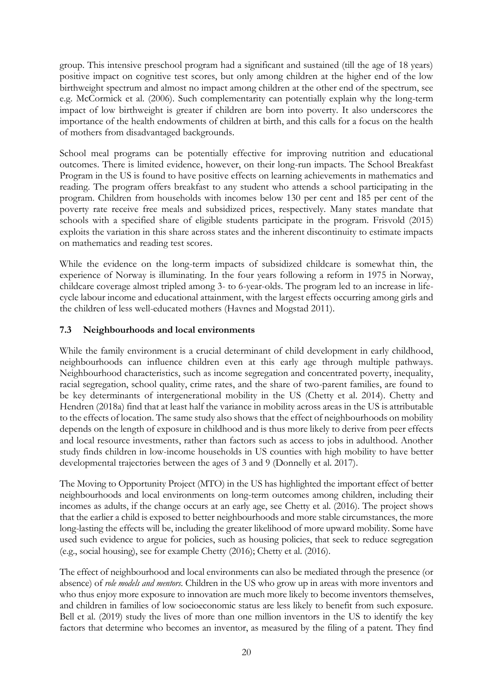group. This intensive preschool program had a significant and sustained (till the age of 18 years) positive impact on cognitive test scores, but only among children at the higher end of the low birthweight spectrum and almost no impact among children at the other end of the spectrum, see e.g. McCormick et al. (2006). Such complementarity can potentially explain why the long-term impact of low birthweight is greater if children are born into poverty. It also underscores the importance of the health endowments of children at birth, and this calls for a focus on the health of mothers from disadvantaged backgrounds.

School meal programs can be potentially effective for improving nutrition and educational outcomes. There is limited evidence, however, on their long-run impacts. The School Breakfast Program in the US is found to have positive effects on learning achievements in mathematics and reading. The program offers breakfast to any student who attends a school participating in the program. Children from households with incomes below 130 per cent and 185 per cent of the poverty rate receive free meals and subsidized prices, respectively. Many states mandate that schools with a specified share of eligible students participate in the program. Frisvold (2015) exploits the variation in this share across states and the inherent discontinuity to estimate impacts on mathematics and reading test scores.

While the evidence on the long-term impacts of subsidized childcare is somewhat thin, the experience of Norway is illuminating. In the four years following a reform in 1975 in Norway, childcare coverage almost tripled among 3- to 6-year-olds. The program led to an increase in lifecycle labour income and educational attainment, with the largest effects occurring among girls and the children of less well-educated mothers (Havnes and Mogstad 2011).

## **7.3 Neighbourhoods and local environments**

While the family environment is a crucial determinant of child development in early childhood, neighbourhoods can influence children even at this early age through multiple pathways. Neighbourhood characteristics, such as income segregation and concentrated poverty, inequality, racial segregation, school quality, crime rates, and the share of two-parent families, are found to be key determinants of intergenerational mobility in the US (Chetty et al. 2014). Chetty and Hendren (2018a) find that at least half the variance in mobility across areas in the US is attributable to the effects of location. The same study also shows that the effect of neighbourhoods on mobility depends on the length of exposure in childhood and is thus more likely to derive from peer effects and local resource investments, rather than factors such as access to jobs in adulthood. Another study finds children in low-income households in US counties with high mobility to have better developmental trajectories between the ages of 3 and 9 (Donnelly et al. 2017).

The Moving to Opportunity Project (MTO) in the US has highlighted the important effect of better neighbourhoods and local environments on long-term outcomes among children, including their incomes as adults, if the change occurs at an early age, see Chetty et al. (2016). The project shows that the earlier a child is exposed to better neighbourhoods and more stable circumstances, the more long-lasting the effects will be, including the greater likelihood of more upward mobility. Some have used such evidence to argue for policies, such as housing policies, that seek to reduce segregation (e.g., social housing), see for example Chetty (2016); Chetty et al. (2016).

The effect of neighbourhood and local environments can also be mediated through the presence (or absence) of *role models and mentors*. Children in the US who grow up in areas with more inventors and who thus enjoy more exposure to innovation are much more likely to become inventors themselves, and children in families of low socioeconomic status are less likely to benefit from such exposure. Bell et al. (2019) study the lives of more than one million inventors in the US to identify the key factors that determine who becomes an inventor, as measured by the filing of a patent. They find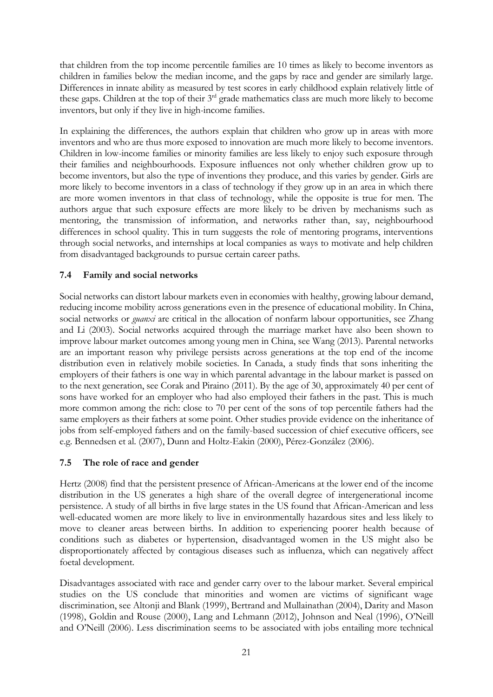that children from the top income percentile families are 10 times as likely to become inventors as children in families below the median income, and the gaps by race and gender are similarly large. Differences in innate ability as measured by test scores in early childhood explain relatively little of these gaps. Children at the top of their 3rd grade mathematics class are much more likely to become inventors, but only if they live in high-income families.

In explaining the differences, the authors explain that children who grow up in areas with more inventors and who are thus more exposed to innovation are much more likely to become inventors. Children in low-income families or minority families are less likely to enjoy such exposure through their families and neighbourhoods. Exposure influences not only whether children grow up to become inventors, but also the type of inventions they produce, and this varies by gender. Girls are more likely to become inventors in a class of technology if they grow up in an area in which there are more women inventors in that class of technology, while the opposite is true for men. The authors argue that such exposure effects are more likely to be driven by mechanisms such as mentoring, the transmission of information, and networks rather than, say, neighbourhood differences in school quality. This in turn suggests the role of mentoring programs, interventions through social networks, and internships at local companies as ways to motivate and help children from disadvantaged backgrounds to pursue certain career paths.

## **7.4 Family and social networks**

Social networks can distort labour markets even in economies with healthy, growing labour demand, reducing income mobility across generations even in the presence of educational mobility. In China, social networks or *guanxi* are critical in the allocation of nonfarm labour opportunities, see Zhang and Li (2003). Social networks acquired through the marriage market have also been shown to improve labour market outcomes among young men in China, see Wang (2013). Parental networks are an important reason why privilege persists across generations at the top end of the income distribution even in relatively mobile societies. In Canada, a study finds that sons inheriting the employers of their fathers is one way in which parental advantage in the labour market is passed on to the next generation, see Corak and Piraino (2011). By the age of 30, approximately 40 per cent of sons have worked for an employer who had also employed their fathers in the past. This is much more common among the rich: close to 70 per cent of the sons of top percentile fathers had the same employers as their fathers at some point. Other studies provide evidence on the inheritance of jobs from self-employed fathers and on the family-based succession of chief executive officers, see e.g. Bennedsen et al. (2007), Dunn and Holtz-Eakin (2000), Pérez-González (2006).

## **7.5 The role of race and gender**

Hertz (2008) find that the persistent presence of African-Americans at the lower end of the income distribution in the US generates a high share of the overall degree of intergenerational income persistence. A study of all births in five large states in the US found that African-American and less well-educated women are more likely to live in environmentally hazardous sites and less likely to move to cleaner areas between births. In addition to experiencing poorer health because of conditions such as diabetes or hypertension, disadvantaged women in the US might also be disproportionately affected by contagious diseases such as influenza, which can negatively affect foetal development.

Disadvantages associated with race and gender carry over to the labour market. Several empirical studies on the US conclude that minorities and women are victims of significant wage discrimination, see Altonji and Blank (1999), Bertrand and Mullainathan (2004), Darity and Mason (1998), Goldin and Rouse (2000), Lang and Lehmann (2012), Johnson and Neal (1996), O'Neill and O'Neill (2006). Less discrimination seems to be associated with jobs entailing more technical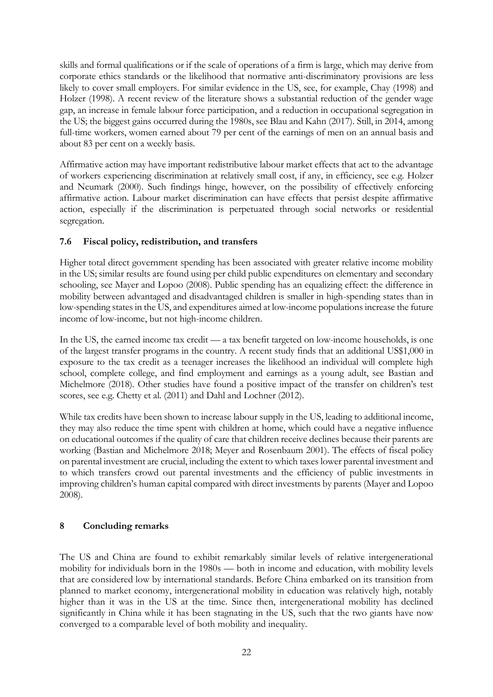skills and formal qualifications or if the scale of operations of a firm is large, which may derive from corporate ethics standards or the likelihood that normative anti-discriminatory provisions are less likely to cover small employers. For similar evidence in the US, see, for example, Chay (1998) and Holzer (1998). A recent review of the literature shows a substantial reduction of the gender wage gap, an increase in female labour force participation, and a reduction in occupational segregation in the US; the biggest gains occurred during the 1980s, see Blau and Kahn (2017). Still, in 2014, among full-time workers, women earned about 79 per cent of the earnings of men on an annual basis and about 83 per cent on a weekly basis.

Affirmative action may have important redistributive labour market effects that act to the advantage of workers experiencing discrimination at relatively small cost, if any, in efficiency, see e.g. Holzer and Neumark (2000). Such findings hinge, however, on the possibility of effectively enforcing affirmative action. Labour market discrimination can have effects that persist despite affirmative action, especially if the discrimination is perpetuated through social networks or residential segregation.

## **7.6 Fiscal policy, redistribution, and transfers**

Higher total direct government spending has been associated with greater relative income mobility in the US; similar results are found using per child public expenditures on elementary and secondary schooling, see Mayer and Lopoo (2008). Public spending has an equalizing effect: the difference in mobility between advantaged and disadvantaged children is smaller in high-spending states than in low-spending states in the US, and expenditures aimed at low-income populations increase the future income of low-income, but not high-income children.

In the US, the earned income tax credit — a tax benefit targeted on low-income households, is one of the largest transfer programs in the country. A recent study finds that an additional US\$1,000 in exposure to the tax credit as a teenager increases the likelihood an individual will complete high school, complete college, and find employment and earnings as a young adult, see Bastian and Michelmore (2018). Other studies have found a positive impact of the transfer on children's test scores, see e.g. Chetty et al. (2011) and Dahl and Lochner (2012).

While tax credits have been shown to increase labour supply in the US, leading to additional income, they may also reduce the time spent with children at home, which could have a negative influence on educational outcomes if the quality of care that children receive declines because their parents are working (Bastian and Michelmore 2018; Meyer and Rosenbaum 2001). The effects of fiscal policy on parental investment are crucial, including the extent to which taxes lower parental investment and to which transfers crowd out parental investments and the efficiency of public investments in improving children's human capital compared with direct investments by parents (Mayer and Lopoo 2008).

### **8 Concluding remarks**

The US and China are found to exhibit remarkably similar levels of relative intergenerational mobility for individuals born in the 1980s — both in income and education, with mobility levels that are considered low by international standards. Before China embarked on its transition from planned to market economy, intergenerational mobility in education was relatively high, notably higher than it was in the US at the time. Since then, intergenerational mobility has declined significantly in China while it has been stagnating in the US, such that the two giants have now converged to a comparable level of both mobility and inequality.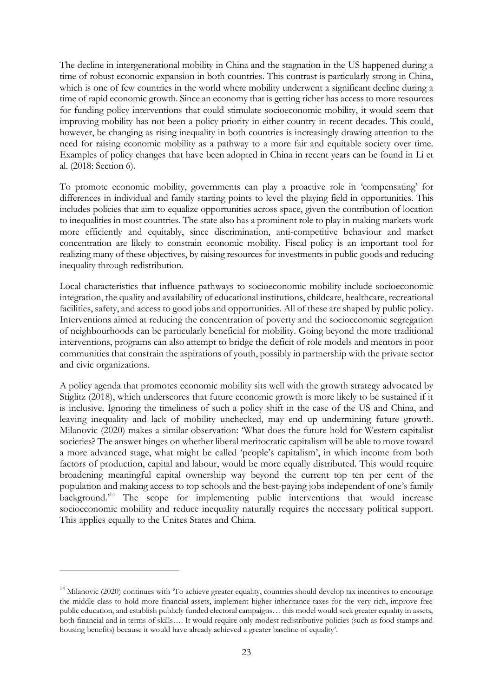The decline in intergenerational mobility in China and the stagnation in the US happened during a time of robust economic expansion in both countries. This contrast is particularly strong in China, which is one of few countries in the world where mobility underwent a significant decline during a time of rapid economic growth. Since an economy that is getting richer has access to more resources for funding policy interventions that could stimulate socioeconomic mobility, it would seem that improving mobility has not been a policy priority in either country in recent decades. This could, however, be changing as rising inequality in both countries is increasingly drawing attention to the need for raising economic mobility as a pathway to a more fair and equitable society over time. Examples of policy changes that have been adopted in China in recent years can be found in Li et al. (2018: Section 6).

To promote economic mobility, governments can play a proactive role in 'compensating' for differences in individual and family starting points to level the playing field in opportunities. This includes policies that aim to equalize opportunities across space, given the contribution of location to inequalities in most countries. The state also has a prominent role to play in making markets work more efficiently and equitably, since discrimination, anti-competitive behaviour and market concentration are likely to constrain economic mobility. Fiscal policy is an important tool for realizing many of these objectives, by raising resources for investments in public goods and reducing inequality through redistribution.

Local characteristics that influence pathways to socioeconomic mobility include socioeconomic integration, the quality and availability of educational institutions, childcare, healthcare, recreational facilities, safety, and access to good jobs and opportunities. All of these are shaped by public policy. Interventions aimed at reducing the concentration of poverty and the socioeconomic segregation of neighbourhoods can be particularly beneficial for mobility. Going beyond the more traditional interventions, programs can also attempt to bridge the deficit of role models and mentors in poor communities that constrain the aspirations of youth, possibly in partnership with the private sector and civic organizations.

A policy agenda that promotes economic mobility sits well with the growth strategy advocated by Stiglitz (2018), which underscores that future economic growth is more likely to be sustained if it is inclusive. Ignoring the timeliness of such a policy shift in the case of the US and China, and leaving inequality and lack of mobility unchecked, may end up undermining future growth. Milanovic (2020) makes a similar observation: 'What does the future hold for Western capitalist societies? The answer hinges on whether liberal meritocratic capitalism will be able to move toward a more advanced stage, what might be called 'people's capitalism', in which income from both factors of production, capital and labour, would be more equally distributed. This would require broadening meaningful capital ownership way beyond the current top ten per cent of the population and making access to top schools and the best-paying jobs independent of one's family background.' <sup>14</sup> The scope for implementing public interventions that would increase socioeconomic mobility and reduce inequality naturally requires the necessary political support. This applies equally to the Unites States and China.

<sup>&</sup>lt;sup>14</sup> Milanovic (2020) continues with  $\tau$  achieve greater equality, countries should develop tax incentives to encourage the middle class to hold more financial assets, implement higher inheritance taxes for the very rich, improve free public education, and establish publicly funded electoral campaigns… this model would seek greater equality in assets, both financial and in terms of skills…. It would require only modest redistributive policies (such as food stamps and housing benefits) because it would have already achieved a greater baseline of equality'.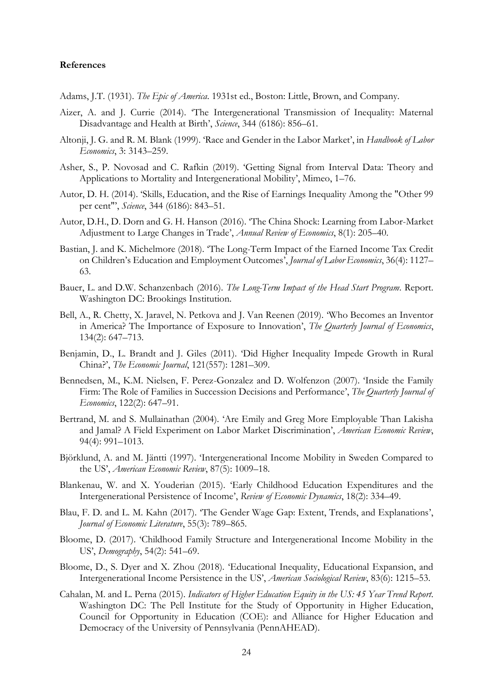#### **References**

Adams, J.T. (1931). *The Epic of America*. 1931st ed., Boston: Little, Brown, and Company.

- Aizer, A. and J. Currie (2014). 'The Intergenerational Transmission of Inequality: Maternal Disadvantage and Health at Birth', *Science*, 344 (6186): 856–61.
- Altonji, J. G. and R. M. Blank (1999). 'Race and Gender in the Labor Market', in *Handbook of Labor Economics*, 3: 3143–259.
- Asher, S., P. Novosad and C. Rafkin (2019). 'Getting Signal from Interval Data: Theory and Applications to Mortality and Intergenerational Mobility', Mimeo, 1–76.
- Autor, D. H. (2014). 'Skills, Education, and the Rise of Earnings Inequality Among the "Other 99 per cent"', *Science*, 344 (6186): 843–51.
- Autor, D.H., D. Dorn and G. H. Hanson (2016). 'The China Shock: Learning from Labor-Market Adjustment to Large Changes in Trade', *Annual Review of Economics*, 8(1): 205–40.
- Bastian, J. and K. Michelmore (2018). 'The Long-Term Impact of the Earned Income Tax Credit on Children's Education and Employment Outcomes', *Journal of Labor Economics*, 36(4): 1127– 63.
- Bauer, L. and D.W. Schanzenbach (2016). *The Long-Term Impact of the Head Start Program*. Report. Washington DC: Brookings Institution.
- Bell, A., R. Chetty, X. Jaravel, N. Petkova and J. Van Reenen (2019). 'Who Becomes an Inventor in America? The Importance of Exposure to Innovation', *The Quarterly Journal of Economics*, 134(2): 647–713.
- Benjamin, D., L. Brandt and J. Giles (2011). 'Did Higher Inequality Impede Growth in Rural China?', *The Economic Journal*, 121(557): 1281–309.
- Bennedsen, M., K.M. Nielsen, F. Perez-Gonzalez and D. Wolfenzon (2007). 'Inside the Family Firm: The Role of Families in Succession Decisions and Performance', *The Quarterly Journal of Economics*, 122(2): 647–91.
- Bertrand, M. and S. Mullainathan (2004). 'Are Emily and Greg More Employable Than Lakisha and Jamal? A Field Experiment on Labor Market Discrimination', *American Economic Review*, 94(4): 991–1013.
- Björklund, A. and M. Jäntti (1997). 'Intergenerational Income Mobility in Sweden Compared to the US', *American Economic Review*, 87(5): 1009–18.
- Blankenau, W. and X. Youderian (2015). 'Early Childhood Education Expenditures and the Intergenerational Persistence of Income', *Review of Economic Dynamics*, 18(2): 334–49.
- Blau, F. D. and L. M. Kahn (2017). 'The Gender Wage Gap: Extent, Trends, and Explanations', *Journal of Economic Literature*, 55(3): 789–865.
- Bloome, D. (2017). 'Childhood Family Structure and Intergenerational Income Mobility in the US', *Demography*, 54(2): 541–69.
- Bloome, D., S. Dyer and X. Zhou (2018). 'Educational Inequality, Educational Expansion, and Intergenerational Income Persistence in the US', *American Sociological Review*, 83(6): 1215–53.
- Cahalan, M. and L. Perna (2015). *Indicators of Higher Education Equity in the US: 45 Year Trend Report*. Washington DC: The Pell Institute for the Study of Opportunity in Higher Education, Council for Opportunity in Education (COE): and Alliance for Higher Education and Democracy of the University of Pennsylvania (PennAHEAD).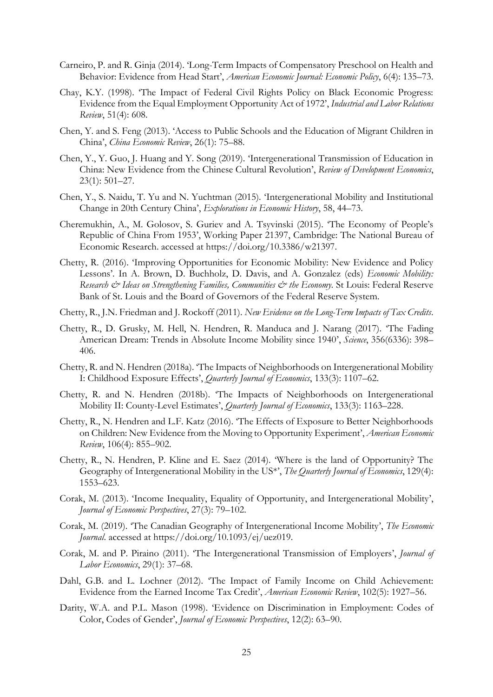- Carneiro, P. and R. Ginja (2014). 'Long-Term Impacts of Compensatory Preschool on Health and Behavior: Evidence from Head Start', *American Economic Journal: Economic Policy*, 6(4): 135–73.
- Chay, K.Y. (1998). 'The Impact of Federal Civil Rights Policy on Black Economic Progress: Evidence from the Equal Employment Opportunity Act of 1972', *Industrial and Labor Relations Review*, 51(4): 608.
- Chen, Y. and S. Feng (2013). 'Access to Public Schools and the Education of Migrant Children in China', *China Economic Review*, 26(1): 75–88.
- Chen, Y., Y. Guo, J. Huang and Y. Song (2019). 'Intergenerational Transmission of Education in China: New Evidence from the Chinese Cultural Revolution', *Review of Development Economics*, 23(1): 501–27.
- Chen, Y., S. Naidu, T. Yu and N. Yuchtman (2015). 'Intergenerational Mobility and Institutional Change in 20th Century China', *Explorations in Economic History*, 58, 44–73.
- Cheremukhin, A., M. Golosov, S. Guriev and A. Tsyvinski (2015). 'The Economy of People's Republic of China From 1953', Working Paper 21397, Cambridge: The National Bureau of Economic Research. accessed at https://doi.org/10.3386/w21397.
- Chetty, R. (2016). 'Improving Opportunities for Economic Mobility: New Evidence and Policy Lessons'. In A. Brown, D. Buchholz, D. Davis, and A. Gonzalez (eds) *Economic Mobility: Research & Ideas on Strengthening Families, Communities & the Economy.* St Louis: Federal Reserve Bank of St. Louis and the Board of Governors of the Federal Reserve System.
- Chetty, R., J.N. Friedman and J. Rockoff (2011). *New Evidence on the Long-Term Impacts of Tax Credits*.
- Chetty, R., D. Grusky, M. Hell, N. Hendren, R. Manduca and J. Narang (2017). 'The Fading American Dream: Trends in Absolute Income Mobility since 1940', *Science*, 356(6336): 398– 406.
- Chetty, R. and N. Hendren (2018a). 'The Impacts of Neighborhoods on Intergenerational Mobility I: Childhood Exposure Effects', *Quarterly Journal of Economics*, 133(3): 1107–62.
- Chetty, R. and N. Hendren (2018b). 'The Impacts of Neighborhoods on Intergenerational Mobility II: County-Level Estimates', *Quarterly Journal of Economics*, 133(3): 1163–228.
- Chetty, R., N. Hendren and L.F. Katz (2016). 'The Effects of Exposure to Better Neighborhoods on Children: New Evidence from the Moving to Opportunity Experiment', *American Economic Review*, 106(4): 855–902.
- Chetty, R., N. Hendren, P. Kline and E. Saez (2014). 'Where is the land of Opportunity? The Geography of Intergenerational Mobility in the US\*', *The Quarterly Journal of Economics*, 129(4): 1553–623.
- Corak, M. (2013). 'Income Inequality, Equality of Opportunity, and Intergenerational Mobility', *Journal of Economic Perspectives*, 27(3): 79–102.
- Corak, M. (2019). 'The Canadian Geography of Intergenerational Income Mobility', *The Economic Journal*. accessed at https://doi.org/10.1093/ej/uez019.
- Corak, M. and P. Piraino (2011). 'The Intergenerational Transmission of Employers', *Journal of Labor Economics*, 29(1): 37–68.
- Dahl, G.B. and L. Lochner (2012). 'The Impact of Family Income on Child Achievement: Evidence from the Earned Income Tax Credit', *American Economic Review*, 102(5): 1927–56.
- Darity, W.A. and P.L. Mason (1998). 'Evidence on Discrimination in Employment: Codes of Color, Codes of Gender', *Journal of Economic Perspectives*, 12(2): 63–90.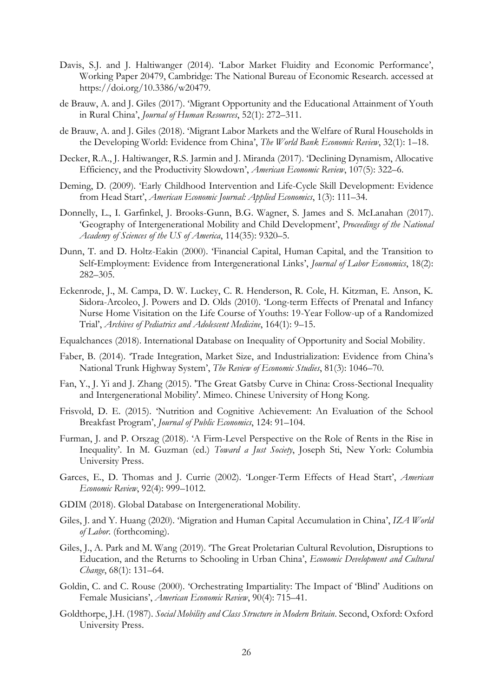- Davis, S.J. and J. Haltiwanger (2014). 'Labor Market Fluidity and Economic Performance', Working Paper 20479, Cambridge: The National Bureau of Economic Research. accessed at https://doi.org/10.3386/w20479.
- de Brauw, A. and J. Giles (2017). 'Migrant Opportunity and the Educational Attainment of Youth in Rural China', *Journal of Human Resources*, 52(1): 272–311.
- de Brauw, A. and J. Giles (2018). 'Migrant Labor Markets and the Welfare of Rural Households in the Developing World: Evidence from China', *The World Bank Economic Review*, 32(1): 1–18.
- Decker, R.A., J. Haltiwanger, R.S. Jarmin and J. Miranda (2017). 'Declining Dynamism, Allocative Efficiency, and the Productivity Slowdown', *American Economic Review*, 107(5): 322–6.
- Deming, D. (2009). 'Early Childhood Intervention and Life-Cycle Skill Development: Evidence from Head Start', *American Economic Journal: Applied Economics*, 1(3): 111–34.
- Donnelly, L., I. Garfinkel, J. Brooks-Gunn, B.G. Wagner, S. James and S. McLanahan (2017). 'Geography of Intergenerational Mobility and Child Development', *Proceedings of the National Academy of Sciences of the US of America*, 114(35): 9320–5.
- Dunn, T. and D. Holtz-Eakin (2000). 'Financial Capital, Human Capital, and the Transition to Self-Employment: Evidence from Intergenerational Links', *Journal of Labor Economics*, 18(2): 282–305.
- Eckenrode, J., M. Campa, D. W. Luckey, C. R. Henderson, R. Cole, H. Kitzman, E. Anson, K. Sidora-Arcoleo, J. Powers and D. Olds (2010). 'Long-term Effects of Prenatal and Infancy Nurse Home Visitation on the Life Course of Youths: 19-Year Follow-up of a Randomized Trial', *Archives of Pediatrics and Adolescent Medicine*, 164(1): 9–15.
- Equalchances (2018). International Database on Inequality of Opportunity and Social Mobility.
- Faber, B. (2014). 'Trade Integration, Market Size, and Industrialization: Evidence from China's National Trunk Highway System', *The Review of Economic Studies*, 81(3): 1046–70.
- Fan, Y., J. Yi and J. Zhang (2015). 'The Great Gatsby Curve in China: Cross-Sectional Inequality and Intergenerational Mobility'. Mimeo. Chinese University of Hong Kong.
- Frisvold, D. E. (2015). 'Nutrition and Cognitive Achievement: An Evaluation of the School Breakfast Program', *Journal of Public Economics*, 124: 91–104.
- Furman, J. and P. Orszag (2018). 'A Firm-Level Perspective on the Role of Rents in the Rise in Inequality'. In M. Guzman (ed.) *Toward a Just Society*, Joseph Sti, New York: Columbia University Press.
- Garces, E., D. Thomas and J. Currie (2002). 'Longer-Term Effects of Head Start', *American Economic Review*, 92(4): 999–1012.
- GDIM (2018). Global Database on Intergenerational Mobility.
- Giles, J. and Y. Huang (2020). 'Migration and Human Capital Accumulation in China', *IZA World of Labor*. (forthcoming).
- Giles, J., A. Park and M. Wang (2019). 'The Great Proletarian Cultural Revolution, Disruptions to Education, and the Returns to Schooling in Urban China', *Economic Development and Cultural Change*, 68(1): 131–64.
- Goldin, C. and C. Rouse (2000). 'Orchestrating Impartiality: The Impact of 'Blind' Auditions on Female Musicians', *American Economic Review*, 90(4): 715–41.
- Goldthorpe, J.H. (1987). *Social Mobility and Class Structure in Modern Britain*. Second, Oxford: Oxford University Press.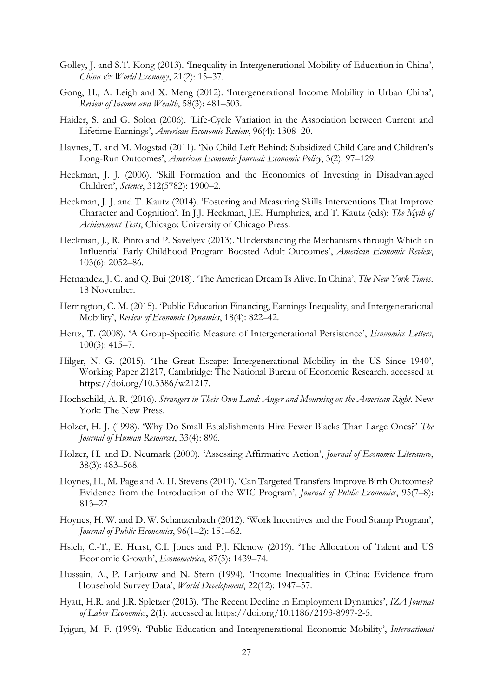- Golley, J. and S.T. Kong (2013). 'Inequality in Intergenerational Mobility of Education in China', *China & World Economy*, 21(2): 15–37.
- Gong, H., A. Leigh and X. Meng (2012). 'Intergenerational Income Mobility in Urban China', *Review of Income and Wealth*, 58(3): 481–503.
- Haider, S. and G. Solon (2006). 'Life-Cycle Variation in the Association between Current and Lifetime Earnings', *American Economic Review*, 96(4): 1308–20.
- Havnes, T. and M. Mogstad (2011). 'No Child Left Behind: Subsidized Child Care and Children's Long-Run Outcomes', *American Economic Journal: Economic Policy*, 3(2): 97–129.
- Heckman, J. J. (2006). 'Skill Formation and the Economics of Investing in Disadvantaged Children', *Science*, 312(5782): 1900–2.
- Heckman, J. J. and T. Kautz (2014). 'Fostering and Measuring Skills Interventions That Improve Character and Cognition'. In J.J. Heckman, J.E. Humphries, and T. Kautz (eds): *The Myth of Achievement Tests*, Chicago: University of Chicago Press.
- Heckman, J., R. Pinto and P. Savelyev (2013). 'Understanding the Mechanisms through Which an Influential Early Childhood Program Boosted Adult Outcomes', *American Economic Review*, 103(6): 2052–86.
- Hernandez, J. C. and Q. Bui (2018). 'The American Dream Is Alive. In China', *The New York Times*. 18 November.
- Herrington, C. M. (2015). 'Public Education Financing, Earnings Inequality, and Intergenerational Mobility', *Review of Economic Dynamics*, 18(4): 822–42.
- Hertz, T. (2008). 'A Group-Specific Measure of Intergenerational Persistence', *Economics Letters*, 100(3): 415–7.
- Hilger, N. G. (2015). 'The Great Escape: Intergenerational Mobility in the US Since 1940', Working Paper 21217, Cambridge: The National Bureau of Economic Research. accessed at https://doi.org/10.3386/w21217.
- Hochschild, A. R. (2016). *Strangers in Their Own Land: Anger and Mourning on the American Right*. New York: The New Press.
- Holzer, H. J. (1998). 'Why Do Small Establishments Hire Fewer Blacks Than Large Ones?' *The Journal of Human Resources*, 33(4): 896.
- Holzer, H. and D. Neumark (2000). 'Assessing Affirmative Action', *Journal of Economic Literature*, 38(3): 483–568.
- Hoynes, H., M. Page and A. H. Stevens (2011). 'Can Targeted Transfers Improve Birth Outcomes? Evidence from the Introduction of the WIC Program', *Journal of Public Economics*, 95(7–8): 813–27.
- Hoynes, H. W. and D. W. Schanzenbach (2012). 'Work Incentives and the Food Stamp Program', *Journal of Public Economics*, 96(1–2): 151–62.
- Hsieh, C.-T., E. Hurst, C.I. Jones and P.J. Klenow (2019). 'The Allocation of Talent and US Economic Growth', *Econometrica*, 87(5): 1439–74.
- Hussain, A., P. Lanjouw and N. Stern (1994). 'Income Inequalities in China: Evidence from Household Survey Data', *World Development*, 22(12): 1947–57.
- Hyatt, H.R. and J.R. Spletzer (2013). 'The Recent Decline in Employment Dynamics', *IZA Journal of Labor Economics*, 2(1). accessed at https://doi.org/10.1186/2193-8997-2-5.
- Iyigun, M. F. (1999). 'Public Education and Intergenerational Economic Mobility', *International*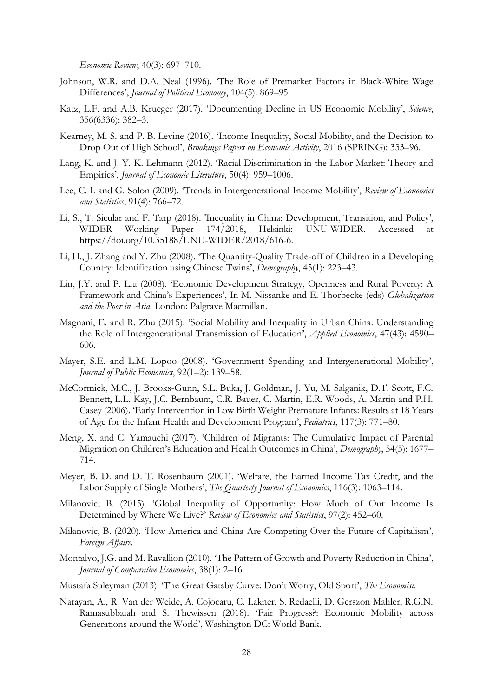*Economic Review*, 40(3): 697–710.

- Johnson, W.R. and D.A. Neal (1996). 'The Role of Premarket Factors in Black-White Wage Differences', *Journal of Political Economy*, 104(5): 869–95.
- Katz, L.F. and A.B. Krueger (2017). 'Documenting Decline in US Economic Mobility', *Science*, 356(6336): 382–3.
- Kearney, M. S. and P. B. Levine (2016). 'Income Inequality, Social Mobility, and the Decision to Drop Out of High School', *Brookings Papers on Economic Activity*, 2016 (SPRING): 333–96.
- Lang, K. and J. Y. K. Lehmann (2012). 'Racial Discrimination in the Labor Market: Theory and Empirics', *Journal of Economic Literature*, 50(4): 959–1006.
- Lee, C. I. and G. Solon (2009). 'Trends in Intergenerational Income Mobility', *Review of Economics and Statistics*, 91(4): 766–72.
- Li, S., T. Sicular and F. Tarp (2018). 'Inequality in China: Development, Transition, and Policy', WIDER Working Paper 174/2018, Helsinki: UNU-WIDER. Accessed at https://doi.org/10.35188/UNU-WIDER/2018/616-6.
- Li, H., J. Zhang and Y. Zhu (2008). 'The Quantity-Quality Trade-off of Children in a Developing Country: Identification using Chinese Twins', *Demography*, 45(1): 223–43.
- Lin, J.Y. and P. Liu (2008). 'Economic Development Strategy, Openness and Rural Poverty: A Framework and China's Experiences', In M. Nissanke and E. Thorbecke (eds) *Globalization and the Poor in Asia*. London: Palgrave Macmillan.
- Magnani, E. and R. Zhu (2015). 'Social Mobility and Inequality in Urban China: Understanding the Role of Intergenerational Transmission of Education', *Applied Economics*, 47(43): 4590– 606.
- Mayer, S.E. and L.M. Lopoo (2008). 'Government Spending and Intergenerational Mobility', *Journal of Public Economics*, 92(1–2): 139–58.
- McCormick, M.C., J. Brooks-Gunn, S.L. Buka, J. Goldman, J. Yu, M. Salganik, D.T. Scott, F.C. Bennett, L.L. Kay, J.C. Bernbaum, C.R. Bauer, C. Martin, E.R. Woods, A. Martin and P.H. Casey (2006). 'Early Intervention in Low Birth Weight Premature Infants: Results at 18 Years of Age for the Infant Health and Development Program', *Pediatrics*, 117(3): 771–80.
- Meng, X. and C. Yamauchi (2017). 'Children of Migrants: The Cumulative Impact of Parental Migration on Children's Education and Health Outcomes in China', *Demography*, 54(5): 1677– 714.
- Meyer, B. D. and D. T. Rosenbaum (2001). 'Welfare, the Earned Income Tax Credit, and the Labor Supply of Single Mothers', *The Quarterly Journal of Economics*, 116(3): 1063–114.
- Milanovic, B. (2015). 'Global Inequality of Opportunity: How Much of Our Income Is Determined by Where We Live?' *Review of Economics and Statistics*, 97(2): 452–60.
- Milanovic, B. (2020). 'How America and China Are Competing Over the Future of Capitalism', *Foreign Affairs*.
- Montalvo, J.G. and M. Ravallion (2010). 'The Pattern of Growth and Poverty Reduction in China', *Journal of Comparative Economics*, 38(1): 2–16.
- Mustafa Suleyman (2013). 'The Great Gatsby Curve: Don't Worry, Old Sport', *The Economist*.
- Narayan, A., R. Van der Weide, A. Cojocaru, C. Lakner, S. Redaelli, D. Gerszon Mahler, R.G.N. Ramasubbaiah and S. Thewissen (2018). 'Fair Progress?: Economic Mobility across Generations around the World', Washington DC: World Bank.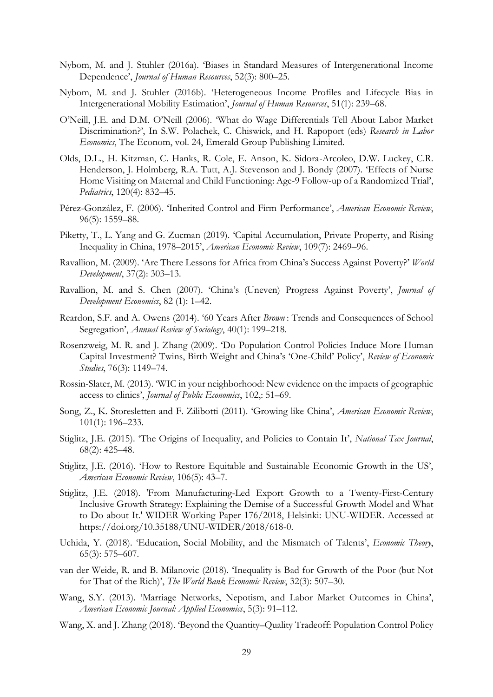- Nybom, M. and J. Stuhler (2016a). 'Biases in Standard Measures of Intergenerational Income Dependence', *Journal of Human Resources*, 52(3): 800–25.
- Nybom, M. and J. Stuhler (2016b). 'Heterogeneous Income Profiles and Lifecycle Bias in Intergenerational Mobility Estimation', *Journal of Human Resources*, 51(1): 239–68.
- O'Neill, J.E. and D.M. O'Neill (2006). 'What do Wage Differentials Tell About Labor Market Discrimination?', In S.W. Polachek, C. Chiswick, and H. Rapoport (eds) *Research in Labor Economics*, The Econom, vol. 24, Emerald Group Publishing Limited.
- Olds, D.L., H. Kitzman, C. Hanks, R. Cole, E. Anson, K. Sidora-Arcoleo, D.W. Luckey, C.R. Henderson, J. Holmberg, R.A. Tutt, A.J. Stevenson and J. Bondy (2007). 'Effects of Nurse Home Visiting on Maternal and Child Functioning: Age-9 Follow-up of a Randomized Trial', *Pediatrics*, 120(4): 832–45.
- Pérez-González, F. (2006). 'Inherited Control and Firm Performance', *American Economic Review*, 96(5): 1559–88.
- Piketty, T., L. Yang and G. Zucman (2019). 'Capital Accumulation, Private Property, and Rising Inequality in China, 1978–2015', *American Economic Review*, 109(7): 2469–96.
- Ravallion, M. (2009). 'Are There Lessons for Africa from China's Success Against Poverty?' *World Development*, 37(2): 303–13.
- Ravallion, M. and S. Chen (2007). 'China's (Uneven) Progress Against Poverty', *Journal of Development Economics*, 82 (1): 1–42.
- Reardon, S.F. and A. Owens (2014). '60 Years After *Brown* : Trends and Consequences of School Segregation', *Annual Review of Sociology*, 40(1): 199–218.
- Rosenzweig, M. R. and J. Zhang (2009). 'Do Population Control Policies Induce More Human Capital Investment? Twins, Birth Weight and China's 'One-Child' Policy', *Review of Economic Studies*, 76(3): 1149–74.
- Rossin-Slater, M. (2013). 'WIC in your neighborhood: New evidence on the impacts of geographic access to clinics', *Journal of Public Economics*, 102,: 51–69.
- Song, Z., K. Storesletten and F. Zilibotti (2011). 'Growing like China', *American Economic Review*, 101(1): 196–233.
- Stiglitz, J.E. (2015). 'The Origins of Inequality, and Policies to Contain It', *National Tax Journal*, 68(2): 425–48.
- Stiglitz, J.E. (2016). 'How to Restore Equitable and Sustainable Economic Growth in the US', *American Economic Review*, 106(5): 43–7.
- Stiglitz, J.E. (2018). 'From Manufacturing-Led Export Growth to a Twenty-First-Century Inclusive Growth Strategy: Explaining the Demise of a Successful Growth Model and What to Do about It.' WIDER Working Paper 176/2018, Helsinki: UNU-WIDER. Accessed at https://doi.org/10.35188/UNU-WIDER/2018/618-0.
- Uchida, Y. (2018). 'Education, Social Mobility, and the Mismatch of Talents', *Economic Theory*, 65(3): 575–607.
- van der Weide, R. and B. Milanovic (2018). 'Inequality is Bad for Growth of the Poor (but Not for That of the Rich)', *The World Bank Economic Review*, 32(3): 507–30.
- Wang, S.Y. (2013). 'Marriage Networks, Nepotism, and Labor Market Outcomes in China', *American Economic Journal: Applied Economics*, 5(3): 91–112.
- Wang, X. and J. Zhang (2018). 'Beyond the Quantity–Quality Tradeoff: Population Control Policy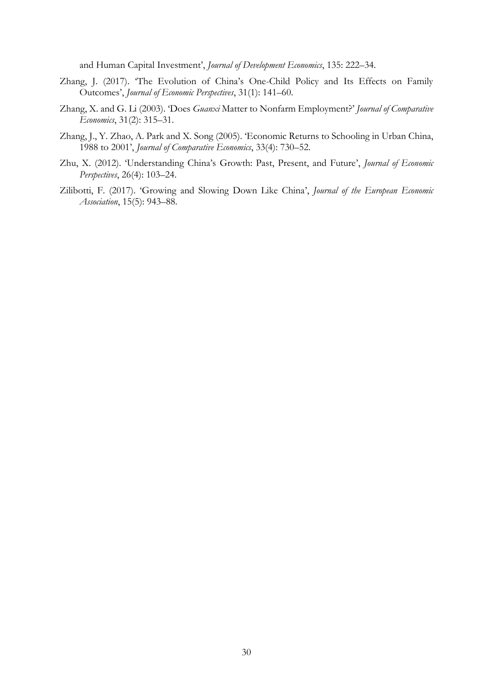and Human Capital Investment', *Journal of Development Economics*, 135: 222–34.

- Zhang, J. (2017). 'The Evolution of China's One-Child Policy and Its Effects on Family Outcomes', *Journal of Economic Perspectives*, 31(1): 141–60.
- Zhang, X. and G. Li (2003). 'Does *Guanxi* Matter to Nonfarm Employment?' *Journal of Comparative Economics*, 31(2): 315–31.
- Zhang, J., Y. Zhao, A. Park and X. Song (2005). 'Economic Returns to Schooling in Urban China, 1988 to 2001', *Journal of Comparative Economics*, 33(4): 730–52.
- Zhu, X. (2012). 'Understanding China's Growth: Past, Present, and Future', *Journal of Economic Perspectives*, 26(4): 103–24.
- Zilibotti, F. (2017). 'Growing and Slowing Down Like China', *Journal of the European Economic Association*, 15(5): 943–88.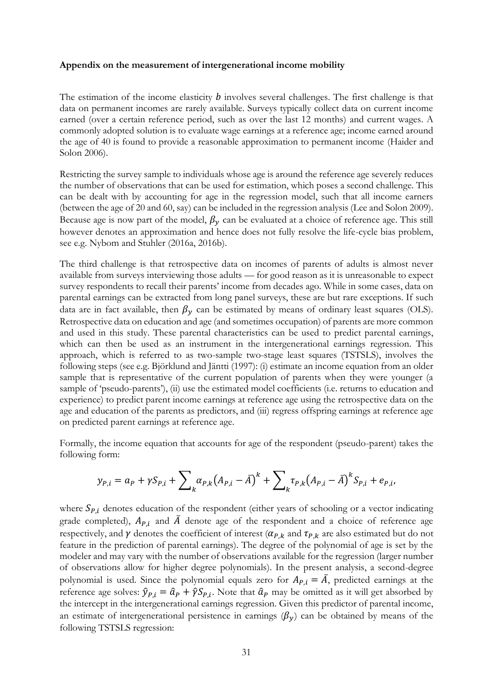#### **Appendix on the measurement of intergenerational income mobility**

The estimation of the income elasticity  $\hat{b}$  involves several challenges. The first challenge is that data on permanent incomes are rarely available. Surveys typically collect data on current income earned (over a certain reference period, such as over the last 12 months) and current wages. A commonly adopted solution is to evaluate wage earnings at a reference age; income earned around the age of 40 is found to provide a reasonable approximation to permanent income (Haider and Solon 2006).

Restricting the survey sample to individuals whose age is around the reference age severely reduces the number of observations that can be used for estimation, which poses a second challenge. This can be dealt with by accounting for age in the regression model, such that all income earners (between the age of 20 and 60, say) can be included in the regression analysis (Lee and Solon 2009). Because age is now part of the model,  $\beta_y$  can be evaluated at a choice of reference age. This still however denotes an approximation and hence does not fully resolve the life-cycle bias problem, see e.g. Nybom and Stuhler (2016a, 2016b).

The third challenge is that retrospective data on incomes of parents of adults is almost never available from surveys interviewing those adults — for good reason as it is unreasonable to expect survey respondents to recall their parents' income from decades ago. While in some cases, data on parental earnings can be extracted from long panel surveys, these are but rare exceptions. If such data are in fact available, then  $\beta_{\nu}$  can be estimated by means of ordinary least squares (OLS). Retrospective data on education and age (and sometimes occupation) of parents are more common and used in this study. These parental characteristics can be used to predict parental earnings, which can then be used as an instrument in the intergenerational earnings regression. This approach, which is referred to as two-sample two-stage least squares (TSTSLS), involves the following steps (see e.g. Björklund and Jäntti (1997): (i) estimate an income equation from an older sample that is representative of the current population of parents when they were younger (a sample of 'pseudo-parents'), (ii) use the estimated model coefficients (i.e. returns to education and experience) to predict parent income earnings at reference age using the retrospective data on the age and education of the parents as predictors, and (iii) regress offspring earnings at reference age on predicted parent earnings at reference age.

Formally, the income equation that accounts for age of the respondent (pseudo-parent) takes the following form:

$$
y_{P,i} = a_P + \gamma S_{P,i} + \sum_{k} \alpha_{P,k} (A_{P,i} - \bar{A})^k + \sum_{k} \tau_{P,k} (A_{P,i} - \bar{A})^k S_{P,i} + e_{P,i},
$$

where  $S_{P,i}$  denotes education of the respondent (either years of schooling or a vector indicating grade completed),  $A_{P,i}$  and  $\overline{A}$  denote age of the respondent and a choice of reference age respectively, and  $\gamma$  denotes the coefficient of interest ( $\alpha_{P,k}$  and  $\tau_{P,k}$  are also estimated but do not feature in the prediction of parental earnings). The degree of the polynomial of age is set by the modeler and may vary with the number of observations available for the regression (larger number of observations allow for higher degree polynomials). In the present analysis, a second-degree polynomial is used. Since the polynomial equals zero for  $A_{P,i} = \overline{A}$ , predicted earnings at the reference age solves:  $\hat{y}_{P,i} = \hat{a}_P + \hat{y} S_{P,i}$ . Note that  $\hat{a}_P$  may be omitted as it will get absorbed by the intercept in the intergenerational earnings regression. Given this predictor of parental income, an estimate of intergenerational persistence in earnings  $(\beta_{\nu})$  can be obtained by means of the following TSTSLS regression: